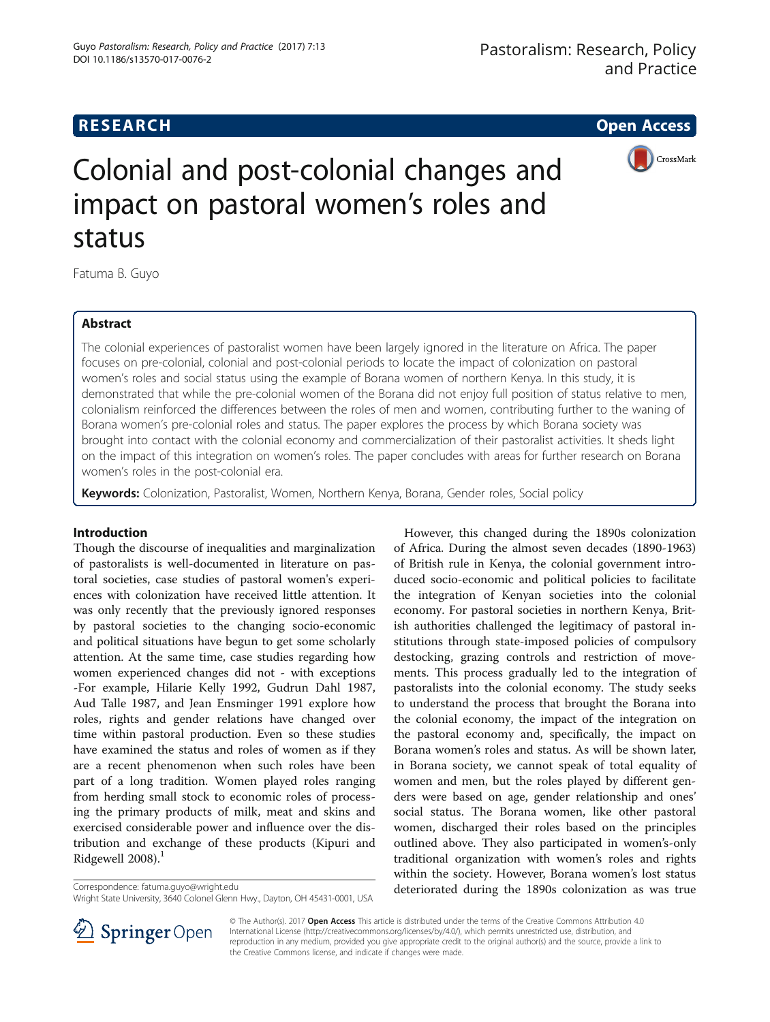# **RESEARCH CHE Open Access**



# Colonial and post-colonial changes and impact on pastoral women's roles and status

Fatuma B. Guyo

# Abstract

The colonial experiences of pastoralist women have been largely ignored in the literature on Africa. The paper focuses on pre-colonial, colonial and post-colonial periods to locate the impact of colonization on pastoral women's roles and social status using the example of Borana women of northern Kenya. In this study, it is demonstrated that while the pre-colonial women of the Borana did not enjoy full position of status relative to men, colonialism reinforced the differences between the roles of men and women, contributing further to the waning of Borana women's pre-colonial roles and status. The paper explores the process by which Borana society was brought into contact with the colonial economy and commercialization of their pastoralist activities. It sheds light on the impact of this integration on women's roles. The paper concludes with areas for further research on Borana women's roles in the post-colonial era.

Keywords: Colonization, Pastoralist, Women, Northern Kenya, Borana, Gender roles, Social policy

# Introduction

Though the discourse of inequalities and marginalization of pastoralists is well-documented in literature on pastoral societies, case studies of pastoral women's experiences with colonization have received little attention. It was only recently that the previously ignored responses by pastoral societies to the changing socio-economic and political situations have begun to get some scholarly attention. At the same time, case studies regarding how women experienced changes did not - with exceptions -For example, Hilarie Kelly [1992](#page-16-0), Gudrun Dahl 1987, Aud Talle [1987](#page-18-0), and Jean Ensminger [1991](#page-17-0) explore how roles, rights and gender relations have changed over time within pastoral production. Even so these studies have examined the status and roles of women as if they are a recent phenomenon when such roles have been part of a long tradition. Women played roles ranging from herding small stock to economic roles of processing the primary products of milk, meat and skins and exercised considerable power and influence over the distribution and exchange of these products (Kipuri and Ridgewell  $2008$ ).<sup>1</sup>

Wright State University, 3640 Colonel Glenn Hwy., Dayton, OH 45431-0001, USA

However, this changed during the 1890s colonization of Africa. During the almost seven decades (1890-1963) of British rule in Kenya, the colonial government introduced socio-economic and political policies to facilitate the integration of Kenyan societies into the colonial economy. For pastoral societies in northern Kenya, British authorities challenged the legitimacy of pastoral institutions through state-imposed policies of compulsory destocking, grazing controls and restriction of movements. This process gradually led to the integration of pastoralists into the colonial economy. The study seeks to understand the process that brought the Borana into the colonial economy, the impact of the integration on the pastoral economy and, specifically, the impact on Borana women's roles and status. As will be shown later, in Borana society, we cannot speak of total equality of women and men, but the roles played by different genders were based on age, gender relationship and ones' social status. The Borana women, like other pastoral women, discharged their roles based on the principles outlined above. They also participated in women's-only traditional organization with women's roles and rights within the society. However, Borana women's lost status Correspondence: [fatuma.guyo@wright.edu](mailto:fatuma.guyo@wright.edu) entity of the deteriorated during the 1890s colonization as was true



© The Author(s). 2017 Open Access This article is distributed under the terms of the Creative Commons Attribution 4.0 International License ([http://creativecommons.org/licenses/by/4.0/\)](http://creativecommons.org/licenses/by/4.0/), which permits unrestricted use, distribution, and reproduction in any medium, provided you give appropriate credit to the original author(s) and the source, provide a link to the Creative Commons license, and indicate if changes were made.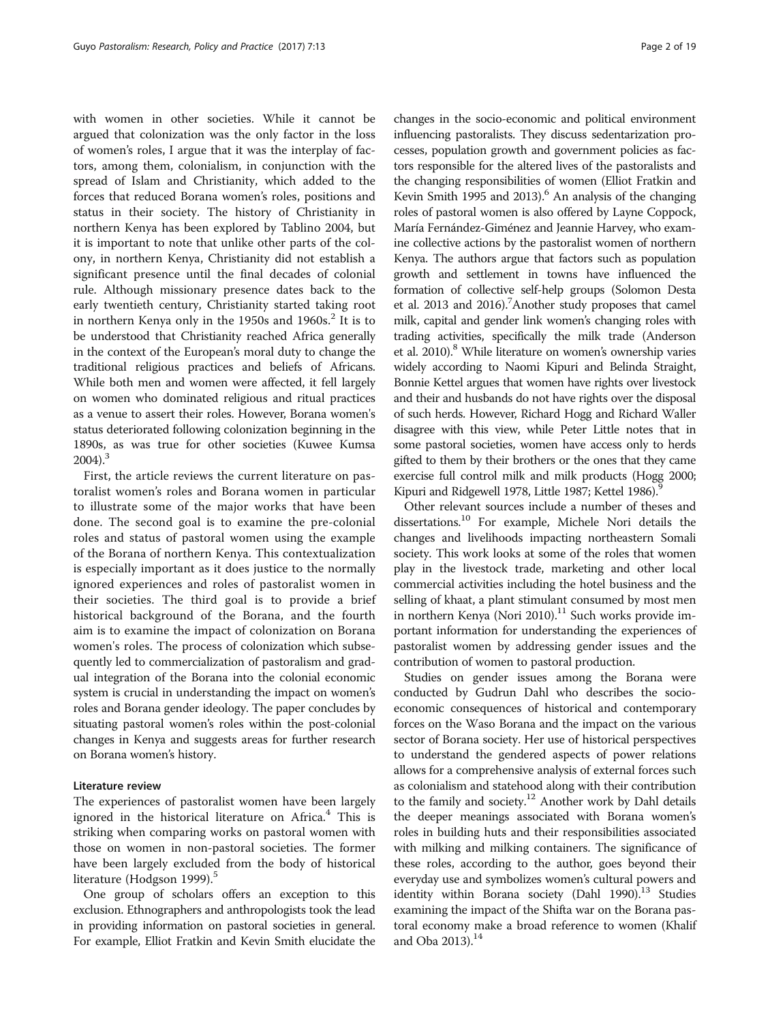with women in other societies. While it cannot be argued that colonization was the only factor in the loss of women's roles, I argue that it was the interplay of factors, among them, colonialism, in conjunction with the spread of Islam and Christianity, which added to the forces that reduced Borana women's roles, positions and status in their society. The history of Christianity in northern Kenya has been explored by Tablino [2004](#page-18-0), but it is important to note that unlike other parts of the colony, in northern Kenya, Christianity did not establish a significant presence until the final decades of colonial rule. Although missionary presence dates back to the early twentieth century, Christianity started taking root in northern Kenya only in the 1950s and  $1960s<sup>2</sup>$  It is to be understood that Christianity reached Africa generally in the context of the European's moral duty to change the traditional religious practices and beliefs of Africans. While both men and women were affected, it fell largely on women who dominated religious and ritual practices as a venue to assert their roles. However, Borana women's status deteriorated following colonization beginning in the 1890s, as was true for other societies (Kuwee Kumsa  $2004$ ).<sup>3</sup>

First, the article reviews the current literature on pastoralist women's roles and Borana women in particular to illustrate some of the major works that have been done. The second goal is to examine the pre-colonial roles and status of pastoral women using the example of the Borana of northern Kenya. This contextualization is especially important as it does justice to the normally ignored experiences and roles of pastoralist women in their societies. The third goal is to provide a brief historical background of the Borana, and the fourth aim is to examine the impact of colonization on Borana women's roles. The process of colonization which subsequently led to commercialization of pastoralism and gradual integration of the Borana into the colonial economic system is crucial in understanding the impact on women's roles and Borana gender ideology. The paper concludes by situating pastoral women's roles within the post-colonial changes in Kenya and suggests areas for further research on Borana women's history.

#### Literature review

The experiences of pastoralist women have been largely ignored in the historical literature on Africa. $4$  This is striking when comparing works on pastoral women with those on women in non-pastoral societies. The former have been largely excluded from the body of historical literature (Hodgson [1999\)](#page-17-0).<sup>5</sup>

One group of scholars offers an exception to this exclusion. Ethnographers and anthropologists took the lead in providing information on pastoral societies in general. For example, Elliot Fratkin and Kevin Smith elucidate the changes in the socio-economic and political environment influencing pastoralists. They discuss sedentarization processes, population growth and government policies as factors responsible for the altered lives of the pastoralists and the changing responsibilities of women (Elliot Fratkin and Kevin Smith [1995](#page-17-0) and [2013](#page-17-0)). $6$  An analysis of the changing roles of pastoral women is also offered by Layne Coppock, María Fernández-Giménez and Jeannie Harvey, who examine collective actions by the pastoralist women of northern Kenya. The authors argue that factors such as population growth and settlement in towns have influenced the formation of collective self-help groups (Solomon Desta et al. 2013 and 2016).<sup>7</sup> Another study proposes that camel milk, capital and gender link women's changing roles with trading activities, specifically the milk trade (Anderson et al. [2010](#page-17-0)).<sup>8</sup> While literature on women's ownership varies widely according to Naomi Kipuri and Belinda Straight, Bonnie Kettel argues that women have rights over livestock and their and husbands do not have rights over the disposal of such herds. However, Richard Hogg and Richard Waller disagree with this view, while Peter Little notes that in some pastoral societies, women have access only to herds gifted to them by their brothers or the ones that they came exercise full control milk and milk products (Hogg [2000](#page-17-0); Kipuri and Ridgewell [1978,](#page-17-0) Little [1987;](#page-17-0) Kettel [1986](#page-17-0)).<sup>9</sup>

Other relevant sources include a number of theses and dissertations.10 For example, Michele Nori details the changes and livelihoods impacting northeastern Somali society. This work looks at some of the roles that women play in the livestock trade, marketing and other local commercial activities including the hotel business and the selling of khaat, a plant stimulant consumed by most men in northern Kenya (Nori [2010\)](#page-17-0).<sup>11</sup> Such works provide important information for understanding the experiences of pastoralist women by addressing gender issues and the contribution of women to pastoral production.

Studies on gender issues among the Borana were conducted by Gudrun Dahl who describes the socioeconomic consequences of historical and contemporary forces on the Waso Borana and the impact on the various sector of Borana society. Her use of historical perspectives to understand the gendered aspects of power relations allows for a comprehensive analysis of external forces such as colonialism and statehood along with their contribution to the family and society.<sup>12</sup> Another work by Dahl details the deeper meanings associated with Borana women's roles in building huts and their responsibilities associated with milking and milking containers. The significance of these roles, according to the author, goes beyond their everyday use and symbolizes women's cultural powers and identity within Borana society (Dahl [1990\)](#page-17-0).<sup>13</sup> Studies examining the impact of the Shifta war on the Borana pastoral economy make a broad reference to women (Khalif and Oba 2013).<sup>14</sup>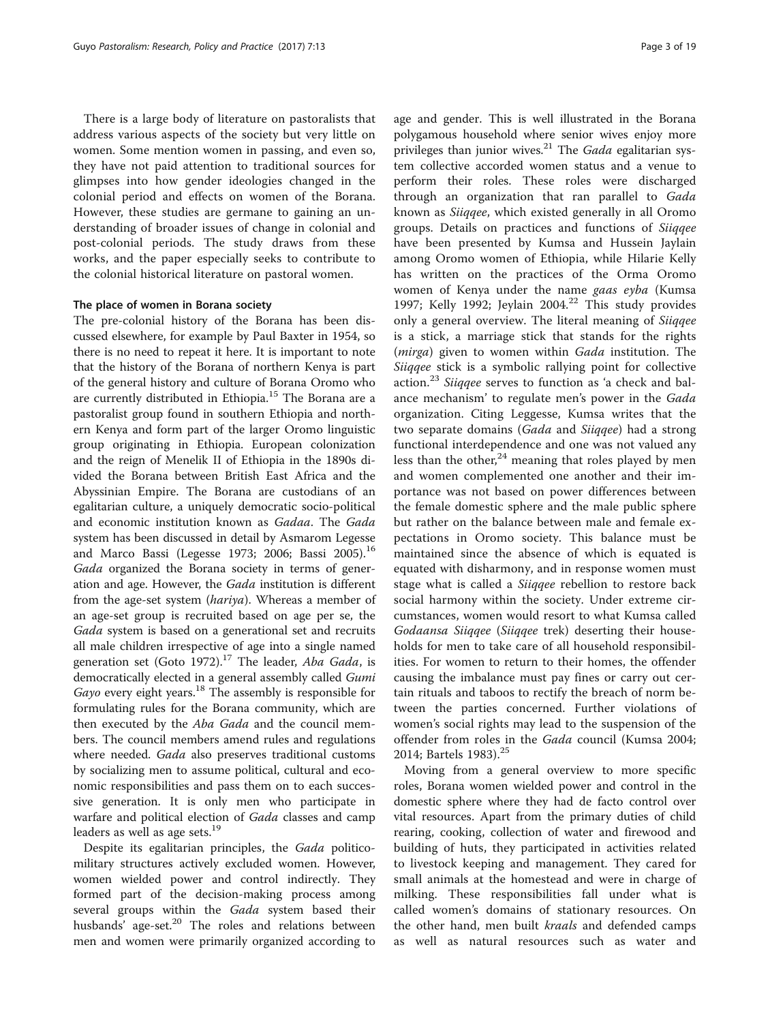There is a large body of literature on pastoralists that address various aspects of the society but very little on women. Some mention women in passing, and even so, they have not paid attention to traditional sources for glimpses into how gender ideologies changed in the colonial period and effects on women of the Borana. However, these studies are germane to gaining an understanding of broader issues of change in colonial and post-colonial periods. The study draws from these works, and the paper especially seeks to contribute to the colonial historical literature on pastoral women.

#### The place of women in Borana society

The pre-colonial history of the Borana has been discussed elsewhere, for example by Paul Baxter in [1954](#page-17-0), so there is no need to repeat it here. It is important to note that the history of the Borana of northern Kenya is part of the general history and culture of Borana Oromo who are currently distributed in Ethiopia.<sup>15</sup> The Borana are a pastoralist group found in southern Ethiopia and northern Kenya and form part of the larger Oromo linguistic group originating in Ethiopia. European colonization and the reign of Menelik II of Ethiopia in the 1890s divided the Borana between British East Africa and the Abyssinian Empire. The Borana are custodians of an egalitarian culture, a uniquely democratic socio-political and economic institution known as Gadaa. The Gada system has been discussed in detail by Asmarom Legesse and Marco Bassi (Legesse [1973](#page-17-0); [2006;](#page-17-0) Bassi 2005).<sup>16</sup> Gada organized the Borana society in terms of generation and age. However, the Gada institution is different from the age-set system (hariya). Whereas a member of an age-set group is recruited based on age per se, the Gada system is based on a generational set and recruits all male children irrespective of age into a single named generation set (Goto [1972\)](#page-17-0).<sup>17</sup> The leader, Aba Gada, is democratically elected in a general assembly called Gumi Gayo every eight years.<sup>18</sup> The assembly is responsible for formulating rules for the Borana community, which are then executed by the Aba Gada and the council members. The council members amend rules and regulations where needed. Gada also preserves traditional customs by socializing men to assume political, cultural and economic responsibilities and pass them on to each successive generation. It is only men who participate in warfare and political election of Gada classes and camp leaders as well as age sets.<sup>19</sup>

Despite its egalitarian principles, the Gada politicomilitary structures actively excluded women. However, women wielded power and control indirectly. They formed part of the decision-making process among several groups within the Gada system based their husbands' age-set.<sup>20</sup> The roles and relations between men and women were primarily organized according to

age and gender. This is well illustrated in the Borana polygamous household where senior wives enjoy more privileges than junior wives.<sup>21</sup> The *Gada* egalitarian system collective accorded women status and a venue to perform their roles. These roles were discharged through an organization that ran parallel to Gada known as Siiqqee, which existed generally in all Oromo groups. Details on practices and functions of Siiqqee have been presented by Kumsa and Hussein Jaylain among Oromo women of Ethiopia, while Hilarie Kelly has written on the practices of the Orma Oromo women of Kenya under the name gaas eyba (Kumsa [1997;](#page-17-0) Kelly 1992; Jeylain  $2004.<sup>22</sup>$  This study provides only a general overview. The literal meaning of Siiqqee is a stick, a marriage stick that stands for the rights (mirga) given to women within Gada institution. The Siiqqee stick is a symbolic rallying point for collective action.<sup>23</sup> Siiqqee serves to function as 'a check and balance mechanism' to regulate men's power in the Gada organization. Citing Leggesse, Kumsa writes that the two separate domains (Gada and Siiqqee) had a strong functional interdependence and one was not valued any less than the other, $24$  meaning that roles played by men and women complemented one another and their importance was not based on power differences between the female domestic sphere and the male public sphere but rather on the balance between male and female expectations in Oromo society. This balance must be maintained since the absence of which is equated is equated with disharmony, and in response women must stage what is called a Siiqqee rebellion to restore back social harmony within the society. Under extreme circumstances, women would resort to what Kumsa called Godaansa Siiqqee (Siiqqee trek) deserting their households for men to take care of all household responsibilities. For women to return to their homes, the offender causing the imbalance must pay fines or carry out certain rituals and taboos to rectify the breach of norm between the parties concerned. Further violations of women's social rights may lead to the suspension of the offender from roles in the Gada council (Kumsa [2004](#page-17-0); 2014; Bartels [1983](#page-17-0)).<sup>25</sup>

Moving from a general overview to more specific roles, Borana women wielded power and control in the domestic sphere where they had de facto control over vital resources. Apart from the primary duties of child rearing, cooking, collection of water and firewood and building of huts, they participated in activities related to livestock keeping and management. They cared for small animals at the homestead and were in charge of milking. These responsibilities fall under what is called women's domains of stationary resources. On the other hand, men built kraals and defended camps as well as natural resources such as water and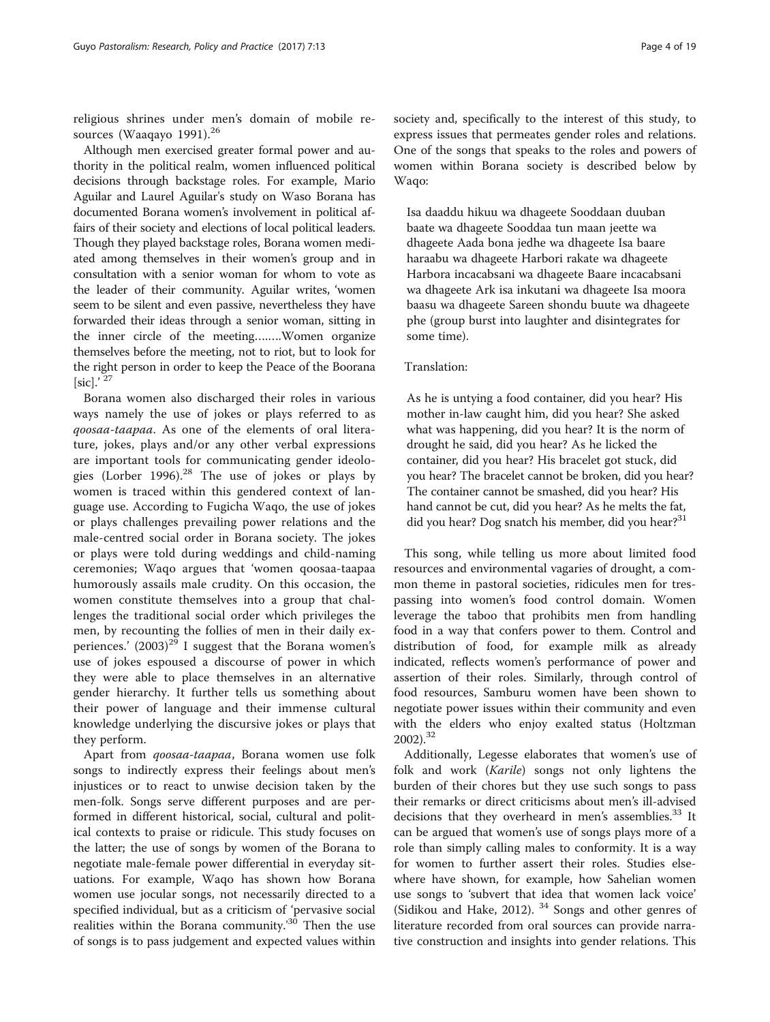religious shrines under men's domain of mobile re-sources (Waaqayo [1991](#page-18-0)).<sup>26</sup>

Although men exercised greater formal power and authority in the political realm, women influenced political decisions through backstage roles. For example, Mario Aguilar and Laurel Aguilar's study on Waso Borana has documented Borana women's involvement in political affairs of their society and elections of local political leaders. Though they played backstage roles, Borana women mediated among themselves in their women's group and in consultation with a senior woman for whom to vote as the leader of their community. Aguilar writes, 'women seem to be silent and even passive, nevertheless they have forwarded their ideas through a senior woman, sitting in the inner circle of the meeting….….Women organize themselves before the meeting, not to riot, but to look for the right person in order to keep the Peace of the Boorana  $[sic]$ .' <sup>27</sup>

Borana women also discharged their roles in various ways namely the use of jokes or plays referred to as qoosaa-taapaa. As one of the elements of oral literature, jokes, plays and/or any other verbal expressions are important tools for communicating gender ideologies (Lorber [1996\)](#page-17-0).<sup>28</sup> The use of jokes or plays by women is traced within this gendered context of language use. According to Fugicha Waqo, the use of jokes or plays challenges prevailing power relations and the male-centred social order in Borana society. The jokes or plays were told during weddings and child-naming ceremonies; Waqo argues that 'women qoosaa-taapaa humorously assails male crudity. On this occasion, the women constitute themselves into a group that challenges the traditional social order which privileges the men, by recounting the follies of men in their daily experiences.'  $(2003)^{29}$  $(2003)^{29}$  I suggest that the Borana women's use of jokes espoused a discourse of power in which they were able to place themselves in an alternative gender hierarchy. It further tells us something about their power of language and their immense cultural knowledge underlying the discursive jokes or plays that they perform.

Apart from qoosaa-taapaa, Borana women use folk songs to indirectly express their feelings about men's injustices or to react to unwise decision taken by the men-folk. Songs serve different purposes and are performed in different historical, social, cultural and political contexts to praise or ridicule. This study focuses on the latter; the use of songs by women of the Borana to negotiate male-female power differential in everyday situations. For example, Waqo has shown how Borana women use jocular songs, not necessarily directed to a specified individual, but as a criticism of 'pervasive social realities within the Borana community.<sup>'30</sup> Then the use of songs is to pass judgement and expected values within society and, specifically to the interest of this study, to express issues that permeates gender roles and relations. One of the songs that speaks to the roles and powers of women within Borana society is described below by Waqo:

Isa daaddu hikuu wa dhageete Sooddaan duuban baate wa dhageete Sooddaa tun maan jeette wa dhageete Aada bona jedhe wa dhageete Isa baare haraabu wa dhageete Harbori rakate wa dhageete Harbora incacabsani wa dhageete Baare incacabsani wa dhageete Ark isa inkutani wa dhageete Isa moora baasu wa dhageete Sareen shondu buute wa dhageete phe (group burst into laughter and disintegrates for some time).

#### Translation:

As he is untying a food container, did you hear? His mother in-law caught him, did you hear? She asked what was happening, did you hear? It is the norm of drought he said, did you hear? As he licked the container, did you hear? His bracelet got stuck, did you hear? The bracelet cannot be broken, did you hear? The container cannot be smashed, did you hear? His hand cannot be cut, did you hear? As he melts the fat, did you hear? Dog snatch his member, did you hear?<sup>31</sup>

This song, while telling us more about limited food resources and environmental vagaries of drought, a common theme in pastoral societies, ridicules men for trespassing into women's food control domain. Women leverage the taboo that prohibits men from handling food in a way that confers power to them. Control and distribution of food, for example milk as already indicated, reflects women's performance of power and assertion of their roles. Similarly, through control of food resources, Samburu women have been shown to negotiate power issues within their community and even with the elders who enjoy exalted status (Holtzman  $2002$ ).<sup>32</sup>

Additionally, Legesse elaborates that women's use of folk and work (Karile) songs not only lightens the burden of their chores but they use such songs to pass their remarks or direct criticisms about men's ill-advised decisions that they overheard in men's assemblies.<sup>33</sup> It can be argued that women's use of songs plays more of a role than simply calling males to conformity. It is a way for women to further assert their roles. Studies elsewhere have shown, for example, how Sahelian women use songs to 'subvert that idea that women lack voice' (Sidikou and Hake, [2012](#page-18-0)).  $34$  Songs and other genres of literature recorded from oral sources can provide narrative construction and insights into gender relations. This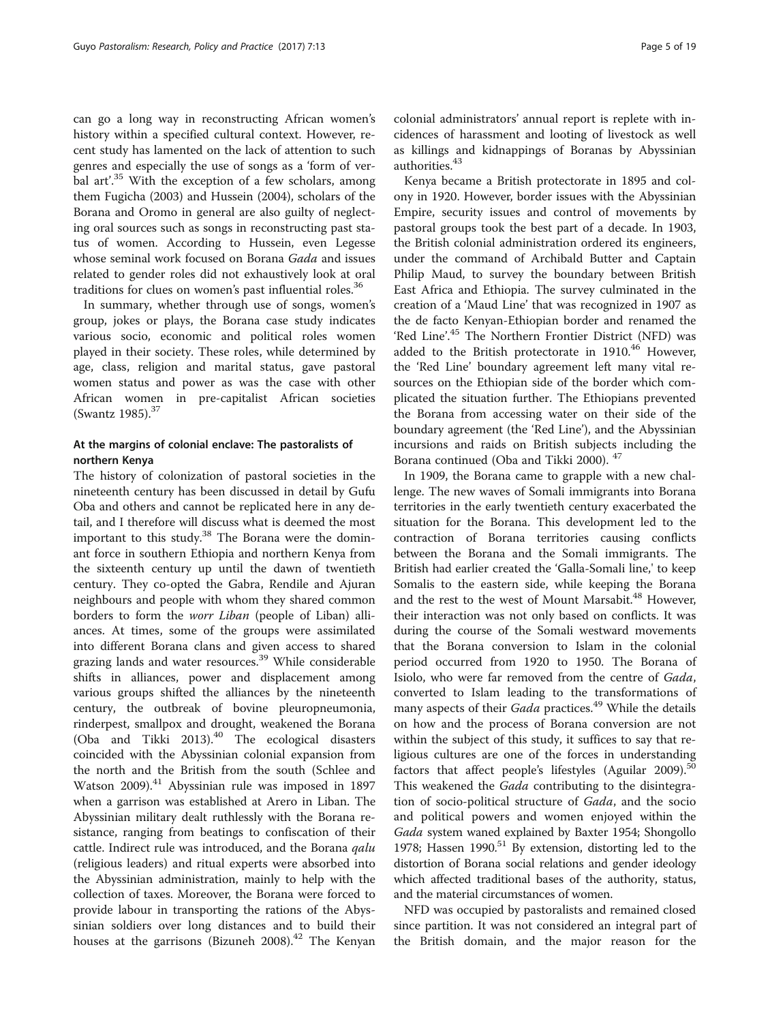can go a long way in reconstructing African women's history within a specified cultural context. However, recent study has lamented on the lack of attention to such genres and especially the use of songs as a 'form of verbal art'.<sup>35</sup> With the exception of a few scholars, among them Fugicha ([2003\)](#page-18-0) and Hussein [\(2004\)](#page-17-0), scholars of the Borana and Oromo in general are also guilty of neglecting oral sources such as songs in reconstructing past status of women. According to Hussein, even Legesse whose seminal work focused on Borana Gada and issues related to gender roles did not exhaustively look at oral traditions for clues on women's past influential roles.<sup>36</sup>

In summary, whether through use of songs, women's group, jokes or plays, the Borana case study indicates various socio, economic and political roles women played in their society. These roles, while determined by age, class, religion and marital status, gave pastoral women status and power as was the case with other African women in pre-capitalist African societies (Swantz  $1985$ ).<sup>37</sup>

# At the margins of colonial enclave: The pastoralists of northern Kenya

The history of colonization of pastoral societies in the nineteenth century has been discussed in detail by Gufu Oba and others and cannot be replicated here in any detail, and I therefore will discuss what is deemed the most important to this study. $38$  The Borana were the dominant force in southern Ethiopia and northern Kenya from the sixteenth century up until the dawn of twentieth century. They co-opted the Gabra, Rendile and Ajuran neighbours and people with whom they shared common borders to form the *worr Liban* (people of Liban) alliances. At times, some of the groups were assimilated into different Borana clans and given access to shared grazing lands and water resources.<sup>39</sup> While considerable shifts in alliances, power and displacement among various groups shifted the alliances by the nineteenth century, the outbreak of bovine pleuropneumonia, rinderpest, smallpox and drought, weakened the Borana (Oba and Tikki [2013\)](#page-17-0).<sup>40</sup> The ecological disasters coincided with the Abyssinian colonial expansion from the north and the British from the south (Schlee and Watson [2009\)](#page-18-0).<sup>41</sup> Abyssinian rule was imposed in 1897 when a garrison was established at Arero in Liban. The Abyssinian military dealt ruthlessly with the Borana resistance, ranging from beatings to confiscation of their cattle. Indirect rule was introduced, and the Borana *qalu* (religious leaders) and ritual experts were absorbed into the Abyssinian administration, mainly to help with the collection of taxes. Moreover, the Borana were forced to provide labour in transporting the rations of the Abyssinian soldiers over long distances and to build their houses at the garrisons (Bizuneh [2008\)](#page-17-0). $42$  The Kenyan colonial administrators' annual report is replete with incidences of harassment and looting of livestock as well as killings and kidnappings of Boranas by Abyssinian authorities.<sup>43</sup>

Kenya became a British protectorate in 1895 and colony in 1920. However, border issues with the Abyssinian Empire, security issues and control of movements by pastoral groups took the best part of a decade. In 1903, the British colonial administration ordered its engineers, under the command of Archibald Butter and Captain Philip Maud, to survey the boundary between British East Africa and Ethiopia. The survey culminated in the creation of a 'Maud Line' that was recognized in 1907 as the de facto Kenyan-Ethiopian border and renamed the 'Red Line'.<sup>45</sup> The Northern Frontier District (NFD) was added to the British protectorate in 1910.<sup>46</sup> However, the 'Red Line' boundary agreement left many vital resources on the Ethiopian side of the border which complicated the situation further. The Ethiopians prevented the Borana from accessing water on their side of the boundary agreement (the 'Red Line'), and the Abyssinian incursions and raids on British subjects including the Borana continued (Oba and Tikki [2000\)](#page-17-0). <sup>47</sup>

In 1909, the Borana came to grapple with a new challenge. The new waves of Somali immigrants into Borana territories in the early twentieth century exacerbated the situation for the Borana. This development led to the contraction of Borana territories causing conflicts between the Borana and the Somali immigrants. The British had earlier created the 'Galla-Somali line,' to keep Somalis to the eastern side, while keeping the Borana and the rest to the west of Mount Marsabit.<sup>48</sup> However, their interaction was not only based on conflicts. It was during the course of the Somali westward movements that the Borana conversion to Islam in the colonial period occurred from 1920 to 1950. The Borana of Isiolo, who were far removed from the centre of Gada, converted to Islam leading to the transformations of many aspects of their *Gada* practices.<sup>49</sup> While the details on how and the process of Borana conversion are not within the subject of this study, it suffices to say that religious cultures are one of the forces in understanding factors that affect people's lifestyles (Aguilar [2009\)](#page-17-0).<sup>50</sup> This weakened the *Gada* contributing to the disintegration of socio-political structure of Gada, and the socio and political powers and women enjoyed within the Gada system waned explained by Baxter [1954](#page-17-0); Shongollo [1978](#page-18-0); Hassen [1990.](#page-17-0)<sup>51</sup> By extension, distorting led to the distortion of Borana social relations and gender ideology which affected traditional bases of the authority, status, and the material circumstances of women.

NFD was occupied by pastoralists and remained closed since partition. It was not considered an integral part of the British domain, and the major reason for the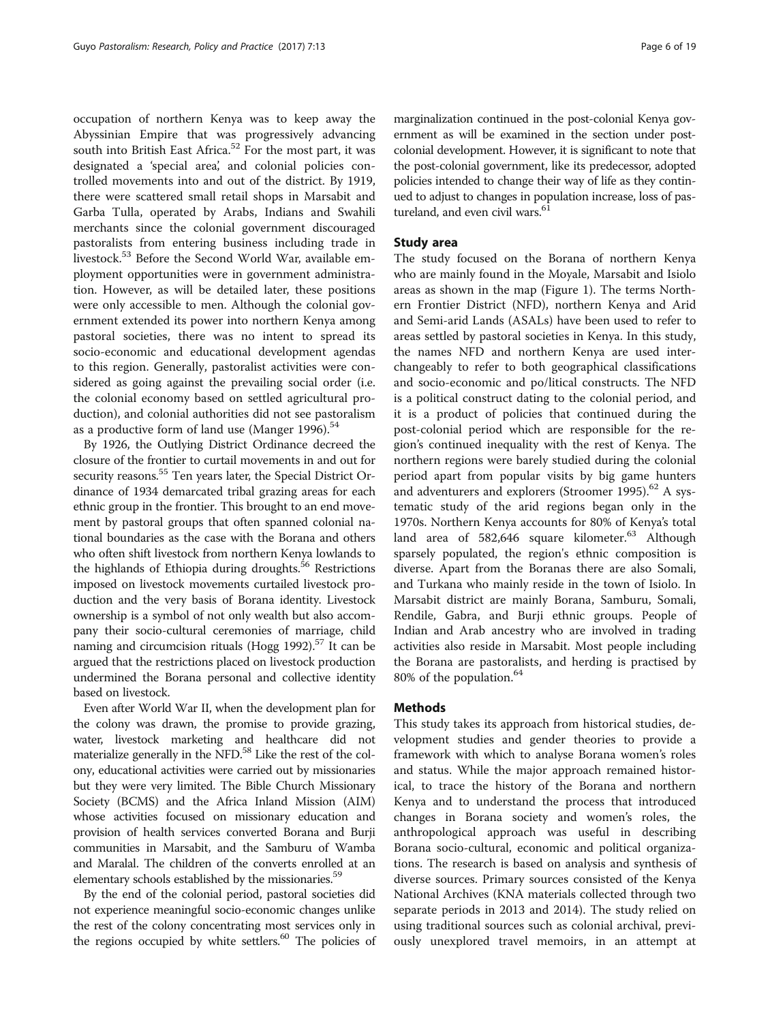occupation of northern Kenya was to keep away the Abyssinian Empire that was progressively advancing south into British East Africa.<sup>52</sup> For the most part, it was designated a 'special area', and colonial policies controlled movements into and out of the district. By 1919, there were scattered small retail shops in Marsabit and Garba Tulla, operated by Arabs, Indians and Swahili merchants since the colonial government discouraged pastoralists from entering business including trade in livestock.53 Before the Second World War, available employment opportunities were in government administration. However, as will be detailed later, these positions were only accessible to men. Although the colonial government extended its power into northern Kenya among pastoral societies, there was no intent to spread its socio-economic and educational development agendas to this region. Generally, pastoralist activities were considered as going against the prevailing social order (i.e. the colonial economy based on settled agricultural production), and colonial authorities did not see pastoralism as a productive form of land use (Manger [1996\)](#page-17-0). $54$ 

By 1926, the Outlying District Ordinance decreed the closure of the frontier to curtail movements in and out for security reasons.<sup>55</sup> Ten years later, the Special District Ordinance of 1934 demarcated tribal grazing areas for each ethnic group in the frontier. This brought to an end movement by pastoral groups that often spanned colonial national boundaries as the case with the Borana and others who often shift livestock from northern Kenya lowlands to the highlands of Ethiopia during droughts.<sup>56</sup> Restrictions imposed on livestock movements curtailed livestock production and the very basis of Borana identity. Livestock ownership is a symbol of not only wealth but also accompany their socio-cultural ceremonies of marriage, child naming and circumcision rituals (Hogg [1992\)](#page-17-0). $57$  It can be argued that the restrictions placed on livestock production undermined the Borana personal and collective identity based on livestock.

Even after World War II, when the development plan for the colony was drawn, the promise to provide grazing, water, livestock marketing and healthcare did not materialize generally in the NFD.58 Like the rest of the colony, educational activities were carried out by missionaries but they were very limited. The Bible Church Missionary Society (BCMS) and the Africa Inland Mission (AIM) whose activities focused on missionary education and provision of health services converted Borana and Burji communities in Marsabit, and the Samburu of Wamba and Maralal. The children of the converts enrolled at an elementary schools established by the missionaries.<sup>59</sup>

By the end of the colonial period, pastoral societies did not experience meaningful socio-economic changes unlike the rest of the colony concentrating most services only in the regions occupied by white settlers.<sup>60</sup> The policies of

marginalization continued in the post-colonial Kenya government as will be examined in the section under postcolonial development. However, it is significant to note that the post-colonial government, like its predecessor, adopted policies intended to change their way of life as they continued to adjust to changes in population increase, loss of pastureland, and even civil wars.<sup>61</sup>

# Study area

The study focused on the Borana of northern Kenya who are mainly found in the Moyale, Marsabit and Isiolo areas as shown in the map (Figure [1\)](#page-6-0). The terms Northern Frontier District (NFD), northern Kenya and Arid and Semi-arid Lands (ASALs) have been used to refer to areas settled by pastoral societies in Kenya. In this study, the names NFD and northern Kenya are used interchangeably to refer to both geographical classifications and socio-economic and po/litical constructs. The NFD is a political construct dating to the colonial period, and it is a product of policies that continued during the post-colonial period which are responsible for the region's continued inequality with the rest of Kenya. The northern regions were barely studied during the colonial period apart from popular visits by big game hunters and adventurers and explorers (Stroomer [1995\)](#page-18-0).<sup>62</sup> A systematic study of the arid regions began only in the 1970s. Northern Kenya accounts for 80% of Kenya's total land area of  $582,646$  square kilometer.<sup>63</sup> Although sparsely populated, the region's ethnic composition is diverse. Apart from the Boranas there are also Somali, and Turkana who mainly reside in the town of Isiolo. In Marsabit district are mainly Borana, Samburu, Somali, Rendile, Gabra, and Burji ethnic groups. People of Indian and Arab ancestry who are involved in trading activities also reside in Marsabit. Most people including the Borana are pastoralists, and herding is practised by 80% of the population.<sup>64</sup>

## Methods

This study takes its approach from historical studies, development studies and gender theories to provide a framework with which to analyse Borana women's roles and status. While the major approach remained historical, to trace the history of the Borana and northern Kenya and to understand the process that introduced changes in Borana society and women's roles, the anthropological approach was useful in describing Borana socio-cultural, economic and political organizations. The research is based on analysis and synthesis of diverse sources. Primary sources consisted of the Kenya National Archives (KNA materials collected through two separate periods in 2013 and 2014). The study relied on using traditional sources such as colonial archival, previously unexplored travel memoirs, in an attempt at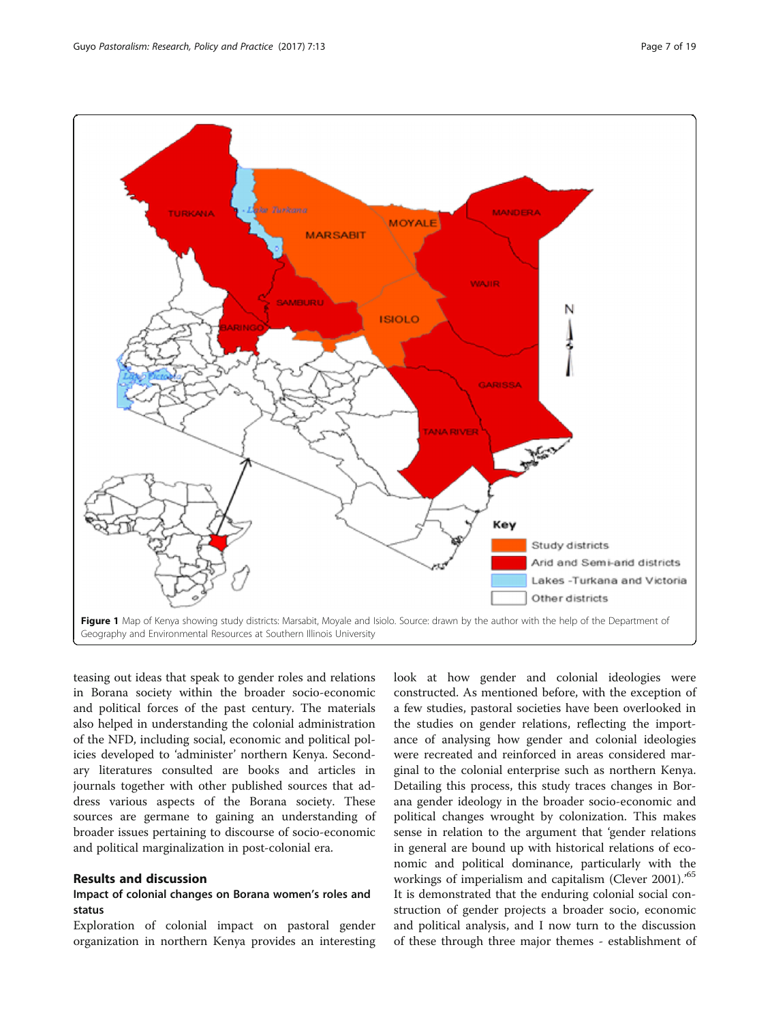<span id="page-6-0"></span>

teasing out ideas that speak to gender roles and relations in Borana society within the broader socio-economic and political forces of the past century. The materials also helped in understanding the colonial administration of the NFD, including social, economic and political policies developed to 'administer' northern Kenya. Secondary literatures consulted are books and articles in journals together with other published sources that address various aspects of the Borana society. These sources are germane to gaining an understanding of broader issues pertaining to discourse of socio-economic and political marginalization in post-colonial era.

## Results and discussion

# Impact of colonial changes on Borana women's roles and status

Exploration of colonial impact on pastoral gender organization in northern Kenya provides an interesting look at how gender and colonial ideologies were constructed. As mentioned before, with the exception of a few studies, pastoral societies have been overlooked in the studies on gender relations, reflecting the importance of analysing how gender and colonial ideologies were recreated and reinforced in areas considered marginal to the colonial enterprise such as northern Kenya. Detailing this process, this study traces changes in Borana gender ideology in the broader socio-economic and political changes wrought by colonization. This makes sense in relation to the argument that 'gender relations in general are bound up with historical relations of economic and political dominance, particularly with the workings of imperialism and capitalism (Clever [2001\)](#page-17-0).' 65 It is demonstrated that the enduring colonial social construction of gender projects a broader socio, economic and political analysis, and I now turn to the discussion of these through three major themes - establishment of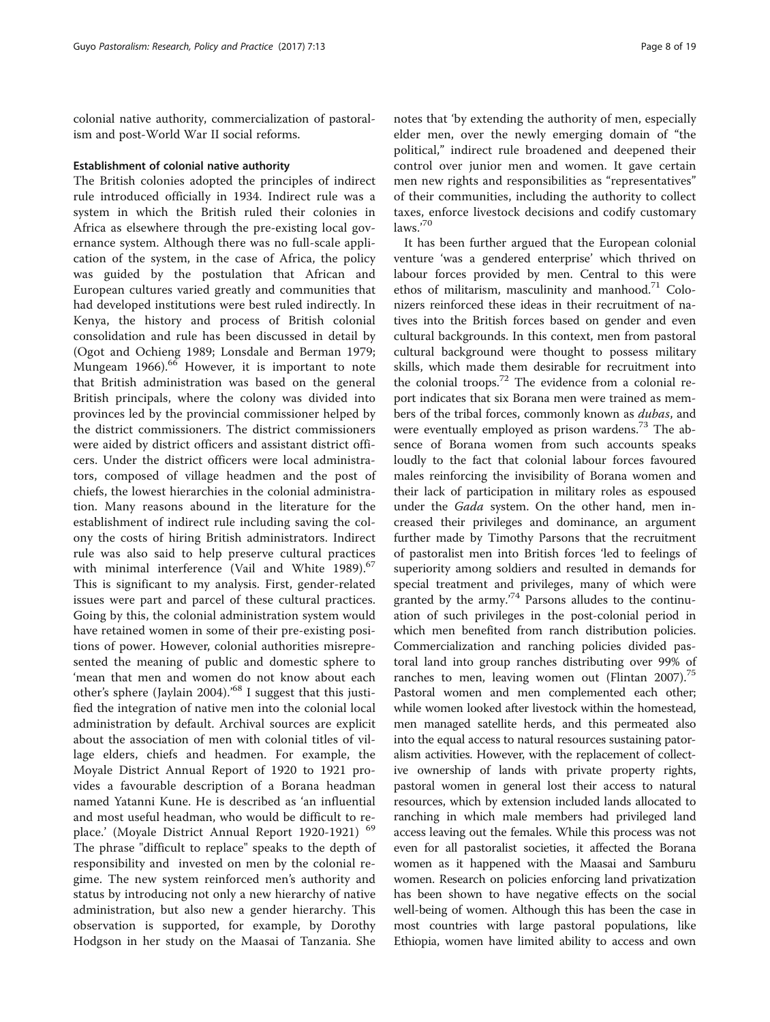colonial native authority, commercialization of pastoralism and post-World War II social reforms.

#### Establishment of colonial native authority

The British colonies adopted the principles of indirect rule introduced officially in 1934. Indirect rule was a system in which the British ruled their colonies in Africa as elsewhere through the pre-existing local governance system. Although there was no full-scale application of the system, in the case of Africa, the policy was guided by the postulation that African and European cultures varied greatly and communities that had developed institutions were best ruled indirectly. In Kenya, the history and process of British colonial consolidation and rule has been discussed in detail by (Ogot and Ochieng [1989](#page-17-0); Lonsdale and Berman [1979](#page-17-0); Mungeam [1966](#page-17-0)).<sup>66</sup> However, it is important to note that British administration was based on the general British principals, where the colony was divided into provinces led by the provincial commissioner helped by the district commissioners. The district commissioners were aided by district officers and assistant district officers. Under the district officers were local administrators, composed of village headmen and the post of chiefs, the lowest hierarchies in the colonial administration. Many reasons abound in the literature for the establishment of indirect rule including saving the colony the costs of hiring British administrators. Indirect rule was also said to help preserve cultural practices with minimal interference (Vail and White  $1989$ ).<sup>67</sup> This is significant to my analysis. First, gender-related issues were part and parcel of these cultural practices. Going by this, the colonial administration system would have retained women in some of their pre-existing positions of power. However, colonial authorities misrepresented the meaning of public and domestic sphere to 'mean that men and women do not know about each other's sphere (Jaylain [2004](#page-17-0)).<sup>168</sup> I suggest that this justified the integration of native men into the colonial local administration by default. Archival sources are explicit about the association of men with colonial titles of village elders, chiefs and headmen. For example, the Moyale District Annual Report of 1920 to 1921 provides a favourable description of a Borana headman named Yatanni Kune. He is described as 'an influential and most useful headman, who would be difficult to replace.' (Moyale District Annual Report [1920-1921\)](#page-16-0) <sup>69</sup> The phrase "difficult to replace" speaks to the depth of responsibility and invested on men by the colonial regime. The new system reinforced men's authority and status by introducing not only a new hierarchy of native administration, but also new a gender hierarchy. This observation is supported, for example, by Dorothy Hodgson in her study on the Maasai of Tanzania. She

notes that 'by extending the authority of men, especially elder men, over the newly emerging domain of "the political," indirect rule broadened and deepened their control over junior men and women. It gave certain men new rights and responsibilities as "representatives" of their communities, including the authority to collect taxes, enforce livestock decisions and codify customary laws.' 70

It has been further argued that the European colonial venture 'was a gendered enterprise' which thrived on labour forces provided by men. Central to this were ethos of militarism, masculinity and manhood.<sup>71</sup> Colonizers reinforced these ideas in their recruitment of natives into the British forces based on gender and even cultural backgrounds. In this context, men from pastoral cultural background were thought to possess military skills, which made them desirable for recruitment into the colonial troops.<sup>72</sup> The evidence from a colonial report indicates that six Borana men were trained as members of the tribal forces, commonly known as *dubas*, and were eventually employed as prison wardens.<sup>73</sup> The absence of Borana women from such accounts speaks loudly to the fact that colonial labour forces favoured males reinforcing the invisibility of Borana women and their lack of participation in military roles as espoused under the Gada system. On the other hand, men increased their privileges and dominance, an argument further made by Timothy Parsons that the recruitment of pastoralist men into British forces 'led to feelings of superiority among soldiers and resulted in demands for special treatment and privileges, many of which were granted by the army.<sup>74</sup> Parsons alludes to the continuation of such privileges in the post-colonial period in which men benefited from ranch distribution policies. Commercialization and ranching policies divided pastoral land into group ranches distributing over 99% of ranches to men, leaving women out (Flintan [2007\)](#page-17-0).<sup>75</sup> Pastoral women and men complemented each other; while women looked after livestock within the homestead, men managed satellite herds, and this permeated also into the equal access to natural resources sustaining patoralism activities. However, with the replacement of collective ownership of lands with private property rights, pastoral women in general lost their access to natural resources, which by extension included lands allocated to ranching in which male members had privileged land access leaving out the females. While this process was not even for all pastoralist societies, it affected the Borana women as it happened with the Maasai and Samburu women. Research on policies enforcing land privatization has been shown to have negative effects on the social well-being of women. Although this has been the case in most countries with large pastoral populations, like Ethiopia, women have limited ability to access and own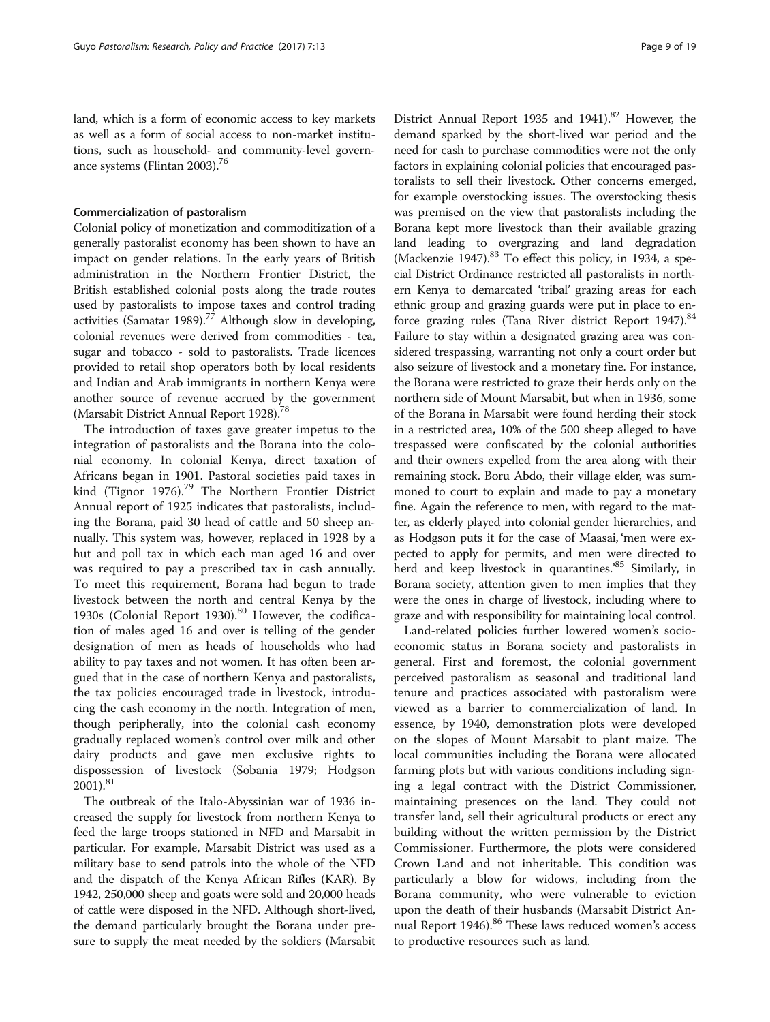land, which is a form of economic access to key markets as well as a form of social access to non-market institutions, such as household- and community-level govern-ance systems (Flintan [2003](#page-17-0)).<sup>76</sup>

#### Commercialization of pastoralism

Colonial policy of monetization and commoditization of a generally pastoralist economy has been shown to have an impact on gender relations. In the early years of British administration in the Northern Frontier District, the British established colonial posts along the trade routes used by pastoralists to impose taxes and control trading activities (Samatar [1989\)](#page-18-0).<sup>77</sup> Although slow in developing, colonial revenues were derived from commodities - tea, sugar and tobacco - sold to pastoralists. Trade licences provided to retail shop operators both by local residents and Indian and Arab immigrants in northern Kenya were another source of revenue accrued by the government (Marsabit District Annual Report 1928).<sup>78</sup>

The introduction of taxes gave greater impetus to the integration of pastoralists and the Borana into the colonial economy. In colonial Kenya, direct taxation of Africans began in 1901. Pastoral societies paid taxes in kind (Tignor [1976](#page-18-0)).<sup>79</sup> The Northern Frontier District Annual report of 1925 indicates that pastoralists, including the Borana, paid 30 head of cattle and 50 sheep annually. This system was, however, replaced in 1928 by a hut and poll tax in which each man aged 16 and over was required to pay a prescribed tax in cash annually. To meet this requirement, Borana had begun to trade livestock between the north and central Kenya by the 1930s (Colonial Report 1930).<sup>80</sup> However, the codification of males aged 16 and over is telling of the gender designation of men as heads of households who had ability to pay taxes and not women. It has often been argued that in the case of northern Kenya and pastoralists, the tax policies encouraged trade in livestock, introducing the cash economy in the north. Integration of men, though peripherally, into the colonial cash economy gradually replaced women's control over milk and other dairy products and gave men exclusive rights to dispossession of livestock (Sobania [1979](#page-18-0); Hodgson [2001](#page-17-0)).<sup>81</sup>

The outbreak of the Italo-Abyssinian war of 1936 increased the supply for livestock from northern Kenya to feed the large troops stationed in NFD and Marsabit in particular. For example, Marsabit District was used as a military base to send patrols into the whole of the NFD and the dispatch of the Kenya African Rifles (KAR). By 1942, 250,000 sheep and goats were sold and 20,000 heads of cattle were disposed in the NFD. Although short-lived, the demand particularly brought the Borana under presure to supply the meat needed by the soldiers (Marsabit

District Annual Report [1935](#page-17-0) and 1941).<sup>82</sup> However, the demand sparked by the short-lived war period and the need for cash to purchase commodities were not the only factors in explaining colonial policies that encouraged pastoralists to sell their livestock. Other concerns emerged, for example overstocking issues. The overstocking thesis was premised on the view that pastoralists including the Borana kept more livestock than their available grazing land leading to overgrazing and land degradation (Mackenzie [1947\)](#page-17-0).<sup>83</sup> To effect this policy, in 1934, a special District Ordinance restricted all pastoralists in northern Kenya to demarcated 'tribal' grazing areas for each ethnic group and grazing guards were put in place to enforce grazing rules (Tana River district Report 1947).<sup>84</sup> Failure to stay within a designated grazing area was considered trespassing, warranting not only a court order but also seizure of livestock and a monetary fine. For instance, the Borana were restricted to graze their herds only on the northern side of Mount Marsabit, but when in 1936, some of the Borana in Marsabit were found herding their stock in a restricted area, 10% of the 500 sheep alleged to have trespassed were confiscated by the colonial authorities and their owners expelled from the area along with their remaining stock. Boru Abdo, their village elder, was summoned to court to explain and made to pay a monetary fine. Again the reference to men, with regard to the matter, as elderly played into colonial gender hierarchies, and as Hodgson puts it for the case of Maasai, 'men were expected to apply for permits, and men were directed to herd and keep livestock in quarantines.' <sup>85</sup> Similarly, in Borana society, attention given to men implies that they were the ones in charge of livestock, including where to graze and with responsibility for maintaining local control.

Land-related policies further lowered women's socioeconomic status in Borana society and pastoralists in general. First and foremost, the colonial government perceived pastoralism as seasonal and traditional land tenure and practices associated with pastoralism were viewed as a barrier to commercialization of land. In essence, by 1940, demonstration plots were developed on the slopes of Mount Marsabit to plant maize. The local communities including the Borana were allocated farming plots but with various conditions including signing a legal contract with the District Commissioner, maintaining presences on the land. They could not transfer land, sell their agricultural products or erect any building without the written permission by the District Commissioner. Furthermore, the plots were considered Crown Land and not inheritable. This condition was particularly a blow for widows, including from the Borana community, who were vulnerable to eviction upon the death of their husbands (Marsabit District Annual Report 1946).<sup>86</sup> These laws reduced women's access to productive resources such as land.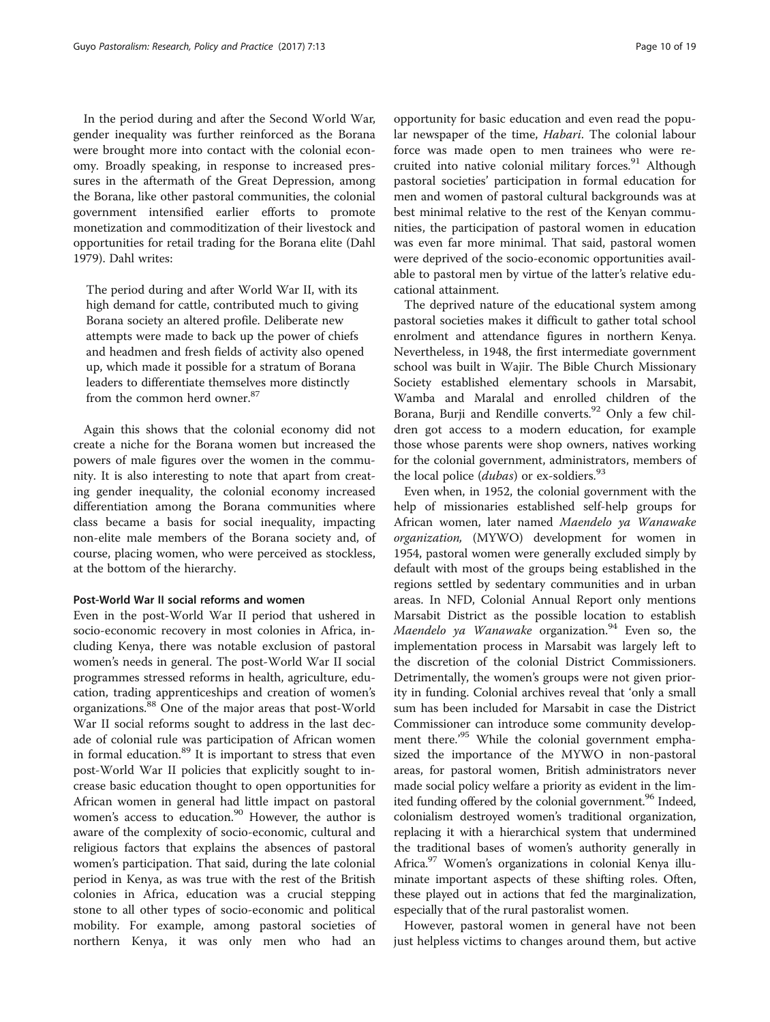In the period during and after the Second World War, gender inequality was further reinforced as the Borana were brought more into contact with the colonial economy. Broadly speaking, in response to increased pressures in the aftermath of the Great Depression, among the Borana, like other pastoral communities, the colonial government intensified earlier efforts to promote monetization and commoditization of their livestock and opportunities for retail trading for the Borana elite (Dahl [1979](#page-17-0)). Dahl writes:

The period during and after World War II, with its high demand for cattle, contributed much to giving Borana society an altered profile. Deliberate new attempts were made to back up the power of chiefs and headmen and fresh fields of activity also opened up, which made it possible for a stratum of Borana leaders to differentiate themselves more distinctly from the common herd owner.<sup>87</sup>

Again this shows that the colonial economy did not create a niche for the Borana women but increased the powers of male figures over the women in the community. It is also interesting to note that apart from creating gender inequality, the colonial economy increased differentiation among the Borana communities where class became a basis for social inequality, impacting non-elite male members of the Borana society and, of course, placing women, who were perceived as stockless, at the bottom of the hierarchy.

## Post-World War II social reforms and women

Even in the post-World War II period that ushered in socio-economic recovery in most colonies in Africa, including Kenya, there was notable exclusion of pastoral women's needs in general. The post-World War II social programmes stressed reforms in health, agriculture, education, trading apprenticeships and creation of women's organizations.<sup>88</sup> One of the major areas that post-World War II social reforms sought to address in the last decade of colonial rule was participation of African women in formal education.<sup>89</sup> It is important to stress that even post-World War II policies that explicitly sought to increase basic education thought to open opportunities for African women in general had little impact on pastoral women's access to education.<sup>90</sup> However, the author is aware of the complexity of socio-economic, cultural and religious factors that explains the absences of pastoral women's participation. That said, during the late colonial period in Kenya, as was true with the rest of the British colonies in Africa, education was a crucial stepping stone to all other types of socio-economic and political mobility. For example, among pastoral societies of northern Kenya, it was only men who had an lar newspaper of the time, Habari. The colonial labour force was made open to men trainees who were recruited into native colonial military forces.<sup>91</sup> Although pastoral societies' participation in formal education for men and women of pastoral cultural backgrounds was at best minimal relative to the rest of the Kenyan communities, the participation of pastoral women in education was even far more minimal. That said, pastoral women were deprived of the socio-economic opportunities available to pastoral men by virtue of the latter's relative educational attainment.

The deprived nature of the educational system among pastoral societies makes it difficult to gather total school enrolment and attendance figures in northern Kenya. Nevertheless, in 1948, the first intermediate government school was built in Wajir. The Bible Church Missionary Society established elementary schools in Marsabit, Wamba and Maralal and enrolled children of the Borana, Burji and Rendille converts.<sup>92</sup> Only a few children got access to a modern education, for example those whose parents were shop owners, natives working for the colonial government, administrators, members of the local police ( $dubas$ ) or ex-soldiers.<sup>93</sup>

Even when, in 1952, the colonial government with the help of missionaries established self-help groups for African women, later named Maendelo ya Wanawake organization, (MYWO) development for women in 1954, pastoral women were generally excluded simply by default with most of the groups being established in the regions settled by sedentary communities and in urban areas. In NFD, Colonial Annual Report only mentions Marsabit District as the possible location to establish Maendelo ya Wanawake organization. $94$  Even so, the implementation process in Marsabit was largely left to the discretion of the colonial District Commissioners. Detrimentally, the women's groups were not given priority in funding. Colonial archives reveal that 'only a small sum has been included for Marsabit in case the District Commissioner can introduce some community development there.' <sup>95</sup> While the colonial government emphasized the importance of the MYWO in non-pastoral areas, for pastoral women, British administrators never made social policy welfare a priority as evident in the limited funding offered by the colonial government.<sup>96</sup> Indeed, colonialism destroyed women's traditional organization, replacing it with a hierarchical system that undermined the traditional bases of women's authority generally in Africa.<sup>97</sup> Women's organizations in colonial Kenya illuminate important aspects of these shifting roles. Often, these played out in actions that fed the marginalization, especially that of the rural pastoralist women.

However, pastoral women in general have not been just helpless victims to changes around them, but active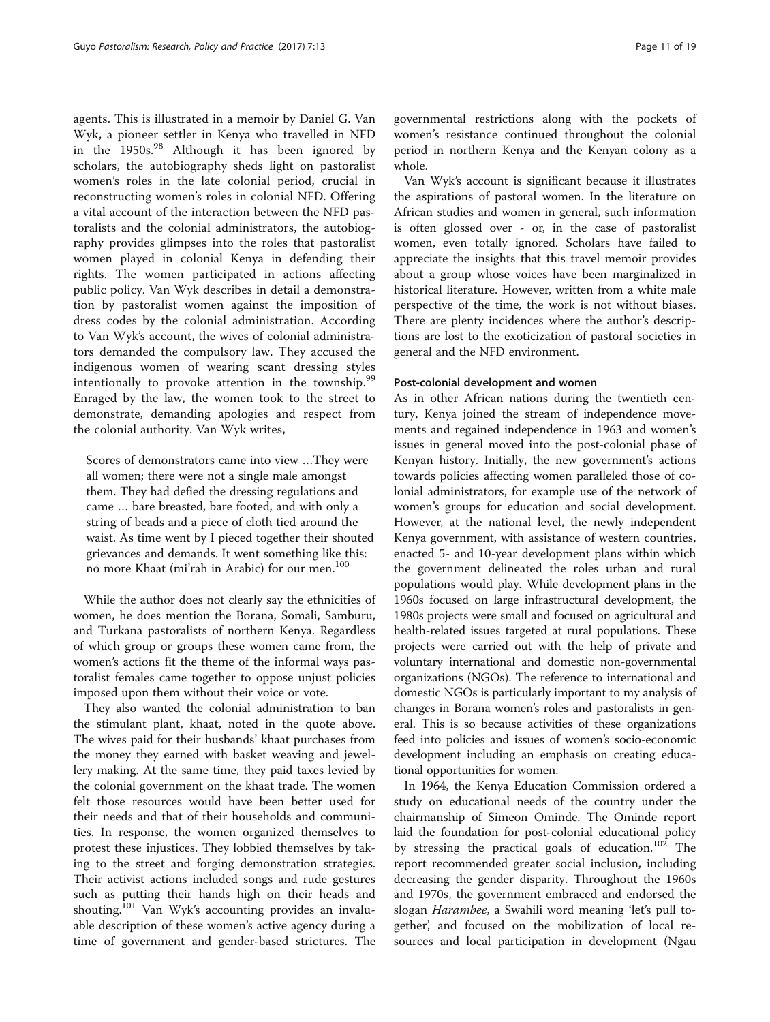agents. This is illustrated in a memoir by Daniel G. Van Wyk, a pioneer settler in Kenya who travelled in NFD in the 1950s.<sup>98</sup> Although it has been ignored by scholars, the autobiography sheds light on pastoralist women's roles in the late colonial period, crucial in reconstructing women's roles in colonial NFD. Offering a vital account of the interaction between the NFD pastoralists and the colonial administrators, the autobiography provides glimpses into the roles that pastoralist women played in colonial Kenya in defending their rights. The women participated in actions affecting public policy. Van Wyk describes in detail a demonstration by pastoralist women against the imposition of dress codes by the colonial administration. According to Van Wyk's account, the wives of colonial administrators demanded the compulsory law. They accused the indigenous women of wearing scant dressing styles intentionally to provoke attention in the township.<sup>99</sup> Enraged by the law, the women took to the street to demonstrate, demanding apologies and respect from the colonial authority. Van Wyk writes,

Scores of demonstrators came into view …They were all women; there were not a single male amongst them. They had defied the dressing regulations and came … bare breasted, bare footed, and with only a string of beads and a piece of cloth tied around the waist. As time went by I pieced together their shouted grievances and demands. It went something like this: no more Khaat (mi'rah in Arabic) for our men.<sup>100</sup>

While the author does not clearly say the ethnicities of women, he does mention the Borana, Somali, Samburu, and Turkana pastoralists of northern Kenya. Regardless of which group or groups these women came from, the women's actions fit the theme of the informal ways pastoralist females came together to oppose unjust policies imposed upon them without their voice or vote.

They also wanted the colonial administration to ban the stimulant plant, khaat, noted in the quote above. The wives paid for their husbands' khaat purchases from the money they earned with basket weaving and jewellery making. At the same time, they paid taxes levied by the colonial government on the khaat trade. The women felt those resources would have been better used for their needs and that of their households and communities. In response, the women organized themselves to protest these injustices. They lobbied themselves by taking to the street and forging demonstration strategies. Their activist actions included songs and rude gestures such as putting their hands high on their heads and shouting.<sup>101</sup> Van Wyk's accounting provides an invaluable description of these women's active agency during a time of government and gender-based strictures. The governmental restrictions along with the pockets of women's resistance continued throughout the colonial period in northern Kenya and the Kenyan colony as a whole.

Van Wyk's account is significant because it illustrates the aspirations of pastoral women. In the literature on African studies and women in general, such information is often glossed over - or, in the case of pastoralist women, even totally ignored. Scholars have failed to appreciate the insights that this travel memoir provides about a group whose voices have been marginalized in historical literature. However, written from a white male perspective of the time, the work is not without biases. There are plenty incidences where the author's descriptions are lost to the exoticization of pastoral societies in general and the NFD environment.

#### Post-colonial development and women

As in other African nations during the twentieth century, Kenya joined the stream of independence movements and regained independence in 1963 and women's issues in general moved into the post-colonial phase of Kenyan history. Initially, the new government's actions towards policies affecting women paralleled those of colonial administrators, for example use of the network of women's groups for education and social development. However, at the national level, the newly independent Kenya government, with assistance of western countries, enacted 5- and 10-year development plans within which the government delineated the roles urban and rural populations would play. While development plans in the 1960s focused on large infrastructural development, the 1980s projects were small and focused on agricultural and health-related issues targeted at rural populations. These projects were carried out with the help of private and voluntary international and domestic non-governmental organizations (NGOs). The reference to international and domestic NGOs is particularly important to my analysis of changes in Borana women's roles and pastoralists in general. This is so because activities of these organizations feed into policies and issues of women's socio-economic development including an emphasis on creating educational opportunities for women.

In 1964, the Kenya Education Commission ordered a study on educational needs of the country under the chairmanship of Simeon Ominde. The Ominde report laid the foundation for post-colonial educational policy by stressing the practical goals of education.<sup>102</sup> The report recommended greater social inclusion, including decreasing the gender disparity. Throughout the 1960s and 1970s, the government embraced and endorsed the slogan Harambee, a Swahili word meaning 'let's pull together', and focused on the mobilization of local resources and local participation in development (Ngau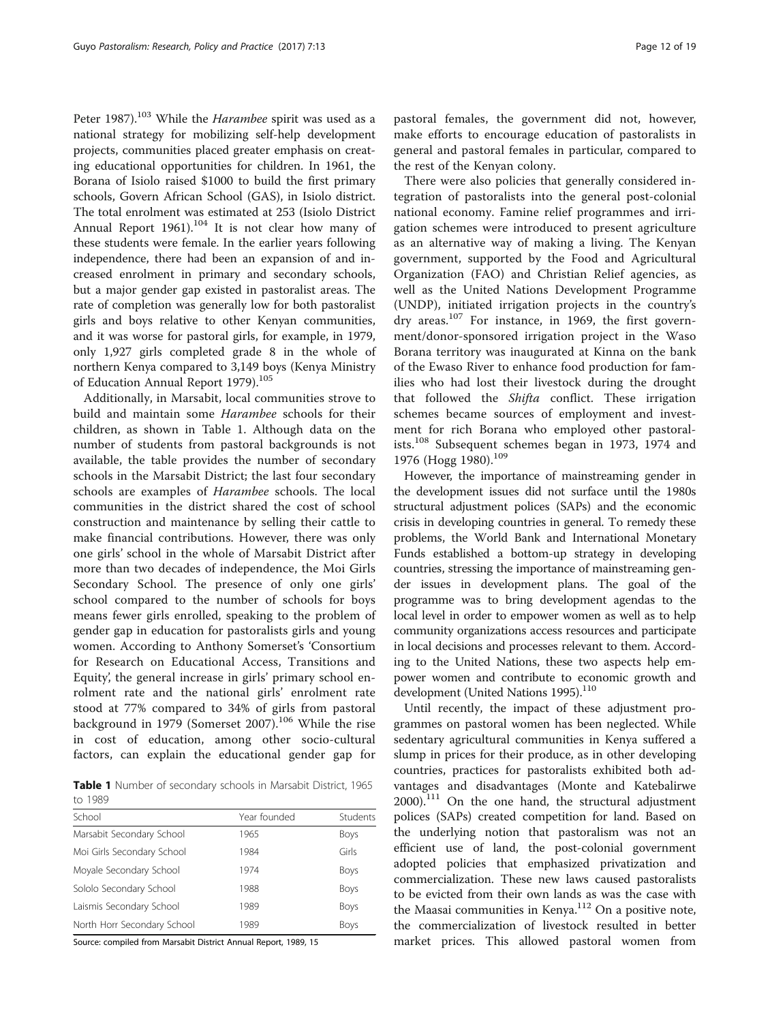Peter [1987\)](#page-17-0).<sup>103</sup> While the Harambee spirit was used as a national strategy for mobilizing self-help development projects, communities placed greater emphasis on creating educational opportunities for children. In 1961, the Borana of Isiolo raised \$1000 to build the first primary schools, Govern African School (GAS), in Isiolo district. The total enrolment was estimated at 253 (Isiolo District Annual Report  $1961$ <sup>104</sup> It is not clear how many of these students were female. In the earlier years following independence, there had been an expansion of and increased enrolment in primary and secondary schools, but a major gender gap existed in pastoralist areas. The rate of completion was generally low for both pastoralist girls and boys relative to other Kenyan communities, and it was worse for pastoral girls, for example, in 1979, only 1,927 girls completed grade 8 in the whole of northern Kenya compared to 3,149 boys (Kenya Ministry of Education Annual Report [1979\)](#page-17-0).<sup>105</sup>

Additionally, in Marsabit, local communities strove to build and maintain some Harambee schools for their children, as shown in Table 1. Although data on the number of students from pastoral backgrounds is not available, the table provides the number of secondary schools in the Marsabit District; the last four secondary schools are examples of Harambee schools. The local communities in the district shared the cost of school construction and maintenance by selling their cattle to make financial contributions. However, there was only one girls' school in the whole of Marsabit District after more than two decades of independence, the Moi Girls Secondary School. The presence of only one girls' school compared to the number of schools for boys means fewer girls enrolled, speaking to the problem of gender gap in education for pastoralists girls and young women. According to Anthony Somerset's 'Consortium for Research on Educational Access, Transitions and Equity', the general increase in girls' primary school enrolment rate and the national girls' enrolment rate stood at 77% compared to 34% of girls from pastoral background in 1979 (Somerset [2007\)](#page-18-0).<sup>106</sup> While the rise in cost of education, among other socio-cultural factors, can explain the educational gender gap for

Table 1 Number of secondary schools in Marsabit District, 1965 to 1989

| School                      | Year founded | Students    |
|-----------------------------|--------------|-------------|
| Marsabit Secondary School   | 1965         | <b>Boys</b> |
| Moi Girls Secondary School  | 1984         | Girls       |
| Moyale Secondary School     | 1974         | <b>Boys</b> |
| Sololo Secondary School     | 1988         | <b>Boys</b> |
| Laismis Secondary School    | 1989         | Boys        |
| North Horr Secondary School | 1989         | Boys        |

Source: compiled from Marsabit District Annual Report, 1989, 15

pastoral females, the government did not, however, make efforts to encourage education of pastoralists in general and pastoral females in particular, compared to the rest of the Kenyan colony.

There were also policies that generally considered integration of pastoralists into the general post-colonial national economy. Famine relief programmes and irrigation schemes were introduced to present agriculture as an alternative way of making a living. The Kenyan government, supported by the Food and Agricultural Organization (FAO) and Christian Relief agencies, as well as the United Nations Development Programme (UNDP), initiated irrigation projects in the country's dry areas. $107$  For instance, in 1969, the first government/donor-sponsored irrigation project in the Waso Borana territory was inaugurated at Kinna on the bank of the Ewaso River to enhance food production for families who had lost their livestock during the drought that followed the Shifta conflict. These irrigation schemes became sources of employment and investment for rich Borana who employed other pastoralists.<sup>108</sup> Subsequent schemes began in 1973, 1974 and 1976 (Hogg [1980](#page-17-0)).<sup>109</sup>

However, the importance of mainstreaming gender in the development issues did not surface until the 1980s structural adjustment polices (SAPs) and the economic crisis in developing countries in general. To remedy these problems, the World Bank and International Monetary Funds established a bottom-up strategy in developing countries, stressing the importance of mainstreaming gender issues in development plans. The goal of the programme was to bring development agendas to the local level in order to empower women as well as to help community organizations access resources and participate in local decisions and processes relevant to them. According to the United Nations, these two aspects help empower women and contribute to economic growth and development (United Nations [1995](#page-17-0)).<sup>110</sup>

Until recently, the impact of these adjustment programmes on pastoral women has been neglected. While sedentary agricultural communities in Kenya suffered a slump in prices for their produce, as in other developing countries, practices for pastoralists exhibited both advantages and disadvantages (Monte and Katebalirwe  $2000$ .<sup>111</sup> On the one hand, the structural adjustment polices (SAPs) created competition for land. Based on the underlying notion that pastoralism was not an efficient use of land, the post-colonial government adopted policies that emphasized privatization and commercialization. These new laws caused pastoralists to be evicted from their own lands as was the case with the Maasai communities in Kenya. $112$  On a positive note, the commercialization of livestock resulted in better market prices. This allowed pastoral women from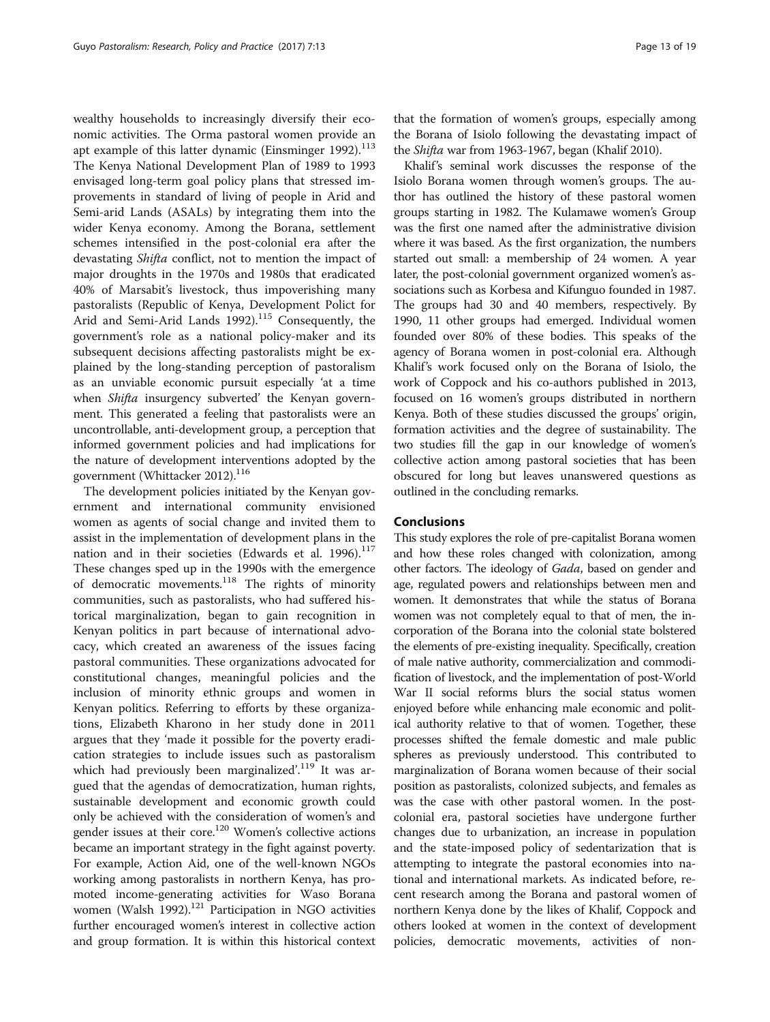wealthy households to increasingly diversify their economic activities. The Orma pastoral women provide an apt example of this latter dynamic (Einsminger [1992](#page-17-0)).<sup>113</sup> The Kenya National Development Plan of 1989 to 1993 envisaged long-term goal policy plans that stressed improvements in standard of living of people in Arid and Semi-arid Lands (ASALs) by integrating them into the wider Kenya economy. Among the Borana, settlement schemes intensified in the post-colonial era after the devastating Shifta conflict, not to mention the impact of major droughts in the 1970s and 1980s that eradicated 40% of Marsabit's livestock, thus impoverishing many pastoralists (Republic of Kenya, Development Polict for Arid and Semi-Arid Lands  $1992$ ).<sup>115</sup> Consequently, the government's role as a national policy-maker and its subsequent decisions affecting pastoralists might be explained by the long-standing perception of pastoralism as an unviable economic pursuit especially 'at a time when Shifta insurgency subverted' the Kenyan government. This generated a feeling that pastoralists were an uncontrollable, anti-development group, a perception that informed government policies and had implications for the nature of development interventions adopted by the government (Whittacker [2012](#page-18-0)).<sup>116</sup>

The development policies initiated by the Kenyan government and international community envisioned women as agents of social change and invited them to assist in the implementation of development plans in the nation and in their societies (Edwards et al.  $1996$ ).<sup>117</sup> These changes sped up in the 1990s with the emergence of democratic movements.118 The rights of minority communities, such as pastoralists, who had suffered historical marginalization, began to gain recognition in Kenyan politics in part because of international advocacy, which created an awareness of the issues facing pastoral communities. These organizations advocated for constitutional changes, meaningful policies and the inclusion of minority ethnic groups and women in Kenyan politics. Referring to efforts by these organizations, Elizabeth Kharono in her study done in [2011](#page-17-0) argues that they 'made it possible for the poverty eradication strategies to include issues such as pastoralism which had previously been marginalized'.<sup>119</sup> It was argued that the agendas of democratization, human rights, sustainable development and economic growth could only be achieved with the consideration of women's and gender issues at their core.<sup>120</sup> Women's collective actions became an important strategy in the fight against poverty. For example, Action Aid, one of the well-known NGOs working among pastoralists in northern Kenya, has promoted income-generating activities for Waso Borana women (Walsh [1992](#page-18-0)).<sup>121</sup> Participation in NGO activities further encouraged women's interest in collective action and group formation. It is within this historical context

that the formation of women's groups, especially among the Borana of Isiolo following the devastating impact of the Shifta war from 1963-1967, began (Khalif 2010).

Khalif's seminal work discusses the response of the Isiolo Borana women through women's groups. The author has outlined the history of these pastoral women groups starting in 1982. The Kulamawe women's Group was the first one named after the administrative division where it was based. As the first organization, the numbers started out small: a membership of 24 women. A year later, the post-colonial government organized women's associations such as Korbesa and Kifunguo founded in 1987. The groups had 30 and 40 members, respectively. By 1990, 11 other groups had emerged. Individual women founded over 80% of these bodies. This speaks of the agency of Borana women in post-colonial era. Although Khalif's work focused only on the Borana of Isiolo, the work of Coppock and his co-authors published in 2013, focused on 16 women's groups distributed in northern Kenya. Both of these studies discussed the groups' origin, formation activities and the degree of sustainability. The two studies fill the gap in our knowledge of women's collective action among pastoral societies that has been obscured for long but leaves unanswered questions as outlined in the concluding remarks.

# Conclusions

This study explores the role of pre-capitalist Borana women and how these roles changed with colonization, among other factors. The ideology of Gada, based on gender and age, regulated powers and relationships between men and women. It demonstrates that while the status of Borana women was not completely equal to that of men, the incorporation of the Borana into the colonial state bolstered the elements of pre-existing inequality. Specifically, creation of male native authority, commercialization and commodification of livestock, and the implementation of post-World War II social reforms blurs the social status women enjoyed before while enhancing male economic and political authority relative to that of women. Together, these processes shifted the female domestic and male public spheres as previously understood. This contributed to marginalization of Borana women because of their social position as pastoralists, colonized subjects, and females as was the case with other pastoral women. In the postcolonial era, pastoral societies have undergone further changes due to urbanization, an increase in population and the state-imposed policy of sedentarization that is attempting to integrate the pastoral economies into national and international markets. As indicated before, recent research among the Borana and pastoral women of northern Kenya done by the likes of Khalif, Coppock and others looked at women in the context of development policies, democratic movements, activities of non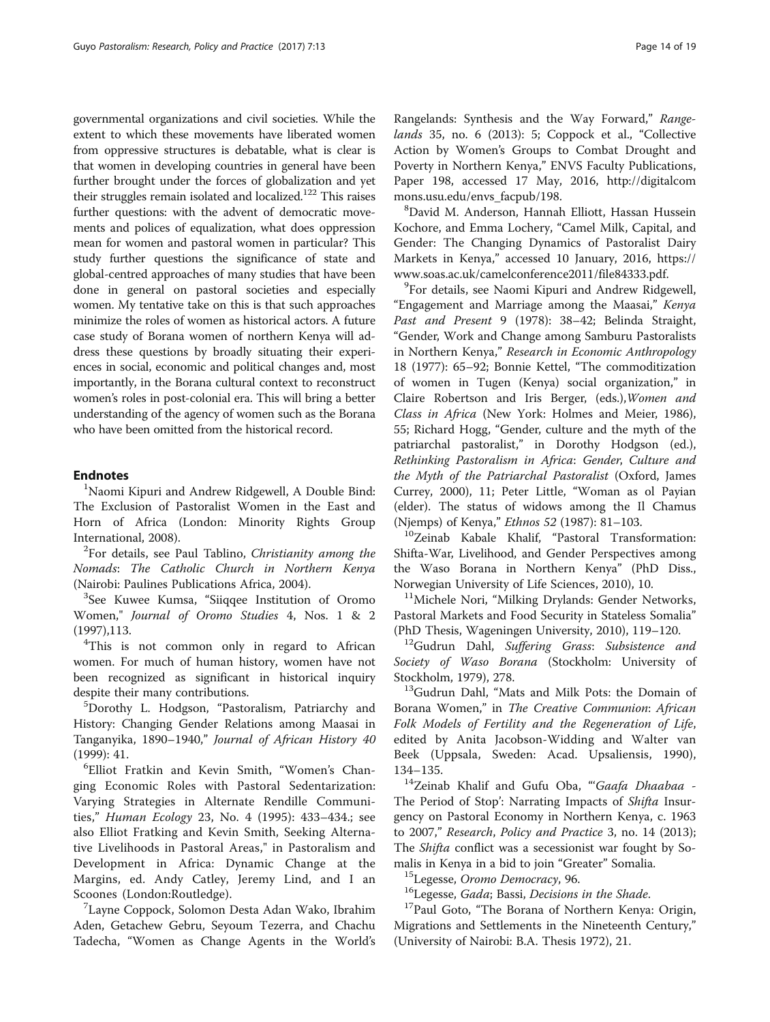governmental organizations and civil societies. While the extent to which these movements have liberated women from oppressive structures is debatable, what is clear is that women in developing countries in general have been further brought under the forces of globalization and yet their struggles remain isolated and localized.<sup>122</sup> This raises further questions: with the advent of democratic movements and polices of equalization, what does oppression mean for women and pastoral women in particular? This study further questions the significance of state and global-centred approaches of many studies that have been done in general on pastoral societies and especially women. My tentative take on this is that such approaches minimize the roles of women as historical actors. A future case study of Borana women of northern Kenya will address these questions by broadly situating their experiences in social, economic and political changes and, most importantly, in the Borana cultural context to reconstruct women's roles in post-colonial era. This will bring a better understanding of the agency of women such as the Borana who have been omitted from the historical record.

# **Endnotes**

<sup>1</sup>Naomi Kipuri and Andrew Ridgewell, A Double Bind: The Exclusion of Pastoralist Women in the East and Horn of Africa (London: Minority Rights Group International, 2008).

 $2^2$ For details, see Paul Tablino, *Christianity among the* Nomads: The Catholic Church in Northern Kenya (Nairobi: Paulines Publications Africa, 2004).

<sup>3</sup>See Kuwee Kumsa, "Siiqqee Institution of Oromo Women," Journal of Oromo Studies 4, Nos. 1 & 2 (1997),113. <sup>4</sup>

<sup>4</sup>This is not common only in regard to African women. For much of human history, women have not been recognized as significant in historical inquiry despite their many contributions.

Dorothy L. Hodgson, "Pastoralism, Patriarchy and History: Changing Gender Relations among Maasai in Tanganyika, 1890–1940," Journal of African History 40 (1999): 41. <sup>6</sup>

Elliot Fratkin and Kevin Smith, "Women's Changing Economic Roles with Pastoral Sedentarization: Varying Strategies in Alternate Rendille Communities," Human Ecology 23, No. 4 ([1995\)](#page-17-0): 433–434.; see also Elliot Fratking and Kevin Smith, Seeking Alternative Livelihoods in Pastoral Areas," in Pastoralism and Development in Africa: Dynamic Change at the Margins, ed. Andy Catley, Jeremy Lind, and I an Scoones (London:Routledge). <sup>7</sup>

Layne Coppock, Solomon Desta Adan Wako, Ibrahim Aden, Getachew Gebru, Seyoum Tezerra, and Chachu Tadecha, "Women as Change Agents in the World's

Rangelands: Synthesis and the Way Forward," Range-lands 35, no. 6 ([2013](#page-17-0)): 5; Coppock et al., "Collective Action by Women's Groups to Combat Drought and Poverty in Northern Kenya," ENVS Faculty Publications, Paper 198, accessed 17 May, 2016, http://digitalcom mons.usu.edu/envs\_facpub/198.

David M. Anderson, Hannah Elliott, Hassan Hussein Kochore, and Emma Lochery, "Camel Milk, Capital, and Gender: The Changing Dynamics of Pastoralist Dairy Markets in Kenya," accessed 10 January, 2016, https:// www.soas.ac.uk/camelconference2011/file84333.pdf. <sup>9</sup>

<sup>9</sup>For details, see Naomi Kipuri and Andrew Ridgewell, "Engagement and Marriage among the Maasai," Kenya Past and Present 9 (1978): 38-42; Belinda Straight, "Gender, Work and Change among Samburu Pastoralists in Northern Kenya," Research in Economic Anthropology 18 (1977): 65–92; Bonnie Kettel, "The commoditization of women in Tugen (Kenya) social organization," in Claire Robertson and Iris Berger, (eds.),Women and Class in Africa (New York: Holmes and Meier, 1986), 55; Richard Hogg, "Gender, culture and the myth of the patriarchal pastoralist," in Dorothy Hodgson (ed.), Rethinking Pastoralism in Africa: Gender, Culture and the Myth of the Patriarchal Pastoralist (Oxford, James Currey, 2000), 11; Peter Little, "Woman as ol Payian (elder). The status of widows among the Il Chamus (Njemps) of Kenya," *Ethnos 52* (1987): 81–103.<br><sup>10</sup>Zeinab Kabale Khalif, "Pastoral Transformation:

Shifta-War, Livelihood, and Gender Perspectives among the Waso Borana in Northern Kenya" (PhD Diss., Norwegian University of Life Sciences, 2010), 10.<br><sup>11</sup>Michele Nori, "Milking Drylands: Gender Networks,

Pastoral Markets and Food Security in Stateless Somalia"

(PhD Thesis, Wageningen University, 2010), 119–120.<br><sup>12</sup>Gudrun Dahl, Suffering Grass: Subsistence and Society of Waso Borana (Stockholm: University of Stockholm, [1979](#page-17-0)), 278.<br><sup>13</sup>Gudrun Dahl, "Mats and Milk Pots: the Domain of

Borana Women," in The Creative Communion: African Folk Models of Fertility and the Regeneration of Life, edited by Anita Jacobson-Widding and Walter van Beek (Uppsala, Sweden: Acad. Upsaliensis, 1990),

134–135.<br><sup>14</sup>Zeinab Khalif and Gufu Oba, "'Gaafa Dhaabaa -The Period of Stop': Narrating Impacts of Shifta Insurgency on Pastoral Economy in Northern Kenya, c. 1963 to 2007," Research, Policy and Practice 3, no. 14 (2013); The *Shifta* conflict was a secessionist war fought by Somalis in Kenya in a bid to join "Greater" Somalia.<br><sup>15</sup>Legesse, *Oromo Democracy*, 96.<br><sup>16</sup>Legesse, *Gada*; Bassi, *Decisions in the Shade*.<br><sup>17</sup>Paul Goto, "The Borana of Northern Kenya: Origin,

Migrations and Settlements in the Nineteenth Century," (University of Nairobi: B.A. Thesis [1972](#page-17-0)), 21.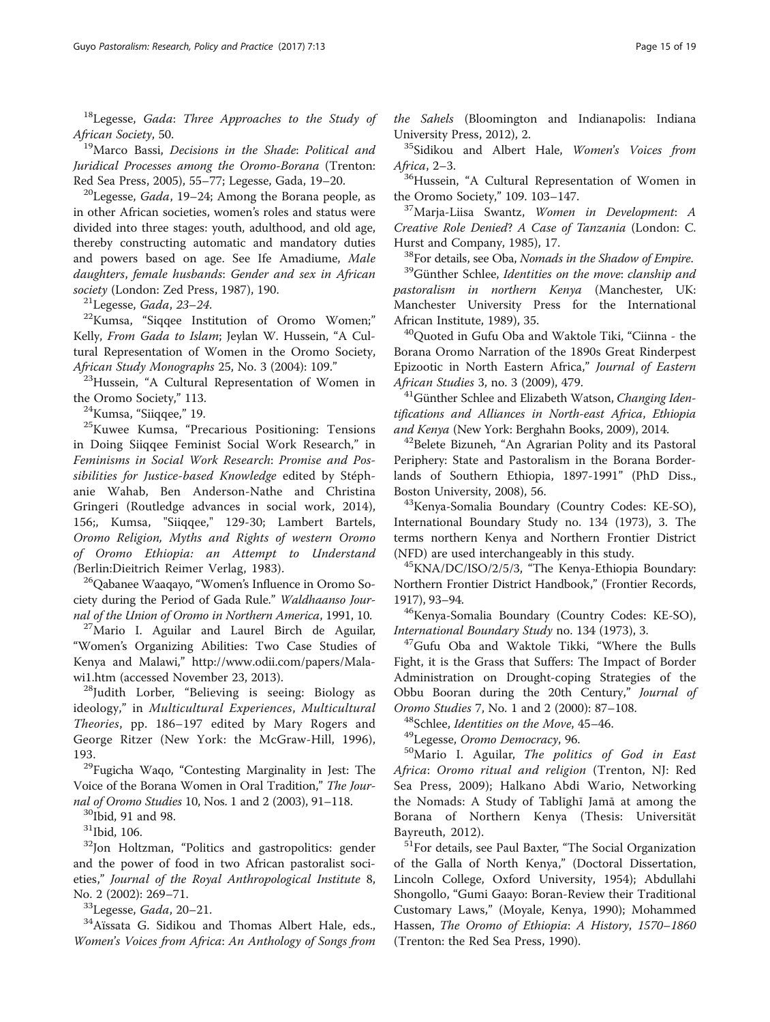$18$ Legesse, Gada: Three Approaches to the Study of African Society, 50.<br><sup>19</sup>Marco Bassi, *Decisions in the Shade: Political and* 

Juridical Processes among the Oromo-Borana (Trenton:

Red Sea Press, 2005), 55–77; Legesse, Gada, 19–20.<br><sup>20</sup>Legesse, *Gada*, 19–24; Among the Borana people, as in other African societies, women's roles and status were divided into three stages: youth, adulthood, and old age, thereby constructing automatic and mandatory duties and powers based on age. See Ife Amadiume, Male daughters, female husbands: Gender and sex in African

society (London: Zed Press, 1987), 190.<br><sup>21</sup>Legesse, *Gada*, 23–24.<br><sup>22</sup>Kumsa, "Siqqee Institution of Oromo Women;" Kelly, From Gada to Islam; Jeylan W. Hussein, "A Cultural Representation of Women in the Oromo Society, African Study Monographs 25, No. 3 [\(2004](#page-17-0)): 109."<br><sup>23</sup>Hussein, "A Cultural Representation of Women in

the Oromo Society," 113.<br><sup>24</sup>Kumsa, "Siiqqee," 19.<br><sup>25</sup>Kuwee Kumsa, "Precarious Positioning: Tensions

in Doing Siiqqee Feminist Social Work Research," in Feminisms in Social Work Research: Promise and Possibilities for Justice-based Knowledge edited by Stéphanie Wahab, Ben Anderson-Nathe and Christina Gringeri (Routledge advances in social work, 2014), 156;, Kumsa, "Siiqqee," 129-30; Lambert Bartels, Oromo Religion, Myths and Rights of western Oromo of Oromo Ethiopia: an Attempt to Understand (Berlin:Dieitrich Reimer Verlag, 1983).

26Qabanee Waaqayo, "Women's Influence in Oromo Society during the Period of Gada Rule." Waldhaanso Jour-

nal of the Union of Oromo in Northern America, 1991, 10.<br><sup>27</sup>Mario I. Aguilar and Laurel Birch de Aguilar, "Women's Organizing Abilities: Two Case Studies of Kenya and Malawi," http://www.odii.com/papers/Mala-wi1.htm (accessed November 23, [2013\)](#page-17-0).<br><sup>28</sup>Judith Lorber, "Believing is seeing: Biology as

ideology," in Multicultural Experiences, Multicultural Theories, pp. 186–197 edited by Mary Rogers and George Ritzer (New York: the McGraw-Hill, 1996),

193. 29Fugicha Waqo, "Contesting Marginality in Jest: The Voice of the Borana Women in Oral Tradition," The Journal of Oromo Studies 10, Nos. 1 and 2 (2003), 91–118.<br> $30$ Ibid, 91 and 98.

<sup>31</sup>Ibid, 106.

<sup>32</sup>Jon Holtzman, "Politics and gastropolitics: gender and the power of food in two African pastoralist societies," Journal of the Royal Anthropological Institute 8, No. 2 [\(2002\)](#page-17-0): 269–71.<br><sup>33</sup>Legesse, *Gada*, 20–21.<br><sup>34</sup>Aïssata G. Sidikou and Thomas Albert Hale, eds.,

Women's Voices from Africa: An Anthology of Songs from

the Sahels (Bloomington and Indianapolis: Indiana University Press, 2012), 2.<br><sup>35</sup>Sidikou and Albert Hale, *Women's Voices from* 

Africa, 2–3.<br> $36$ Hussein, "A Cultural Representation of Women in

the Oromo Society," 109. 103–147.<br><sup>37</sup>Marja-Liisa Swantz, *Women in Development*: A

Creative Role Denied? A Case of Tanzania (London: C. Hurst and Company, 1985), 17.<br><sup>38</sup>For details, see Oba, *Nomads in the Shadow of Empire.*<br><sup>39</sup>Günther Schlee, *Identities on the move: clanship and* 

pastoralism in northern Kenya (Manchester, UK: Manchester University Press for the International

African Institute, 1989), 35.<br><sup>40</sup>Quoted in Gufu Oba and Waktole Tiki, "Ciinna - the Borana Oromo Narration of the 1890s Great Rinderpest Epizootic in North Eastern Africa," Journal of Eastern African Studies 3, no. 3 ([2009](#page-17-0)), 479.<br><sup>41</sup>Günther Schlee and Elizabeth Watson, Changing Iden-

tifications and Alliances in North-east Africa, Ethiopia

and Kenya (New York: Berghahn Books, 2009), 2014.<br><sup>42</sup>Belete Bizuneh, "An Agrarian Polity and its Pastoral Periphery: State and Pastoralism in the Borana Borderlands of Southern Ethiopia, 1897-1991" (PhD Diss.,

Boston University, 2008), 56.<br><sup>43</sup>Kenya-Somalia Boundary (Country Codes: KE-SO), International Boundary Study no. 134 (1973), 3. The terms northern Kenya and Northern Frontier District (NFD) are used interchangeably in this study. 45KNA/DC/ISO/2/5/3, "The Kenya-Ethiopia Boundary:

Northern Frontier District Handbook," (Frontier Records, 1917), 93–94.<br><sup>46</sup>Kenya-Somalia Boundary (Country Codes: KE-SO),

International Boundary Study no. 134 (1973), 3. 47Gufu Oba and Waktole Tikki, "Where the Bulls Fight, it is the Grass that Suffers: The Impact of Border Administration on Drought-coping Strategies of the Obbu Booran during the 20th Century," Journal of

Oromo Studies 7, No. 1 and 2 (2000): 87–108.<br><sup>48</sup>Schlee, *Identities on the Move*, 45–46.<br><sup>49</sup>Legesse, Oromo Democracy, 96.<br><sup>50</sup>Mario I. Aguilar, *The politics of God in East* Africa: Oromo ritual and religion (Trenton, NJ: Red Sea Press, 2009); Halkano Abdi Wario, Networking the Nomads: A Study of Tablīghī Jamā at among the Borana of Northern Kenya (Thesis: Universität Bayreuth, 2012).<br><sup>51</sup>For details, see Paul Baxter, "The Social Organization

of the Galla of North Kenya," (Doctoral Dissertation, Lincoln College, Oxford University, [1954\)](#page-17-0); Abdullahi Shongollo, "Gumi Gaayo: Boran-Review their Traditional Customary Laws," (Moyale, Kenya, [1990](#page-17-0)); Mohammed Hassen, The Oromo of Ethiopia: A History, 1570–1860 (Trenton: the Red Sea Press, [1990](#page-17-0)).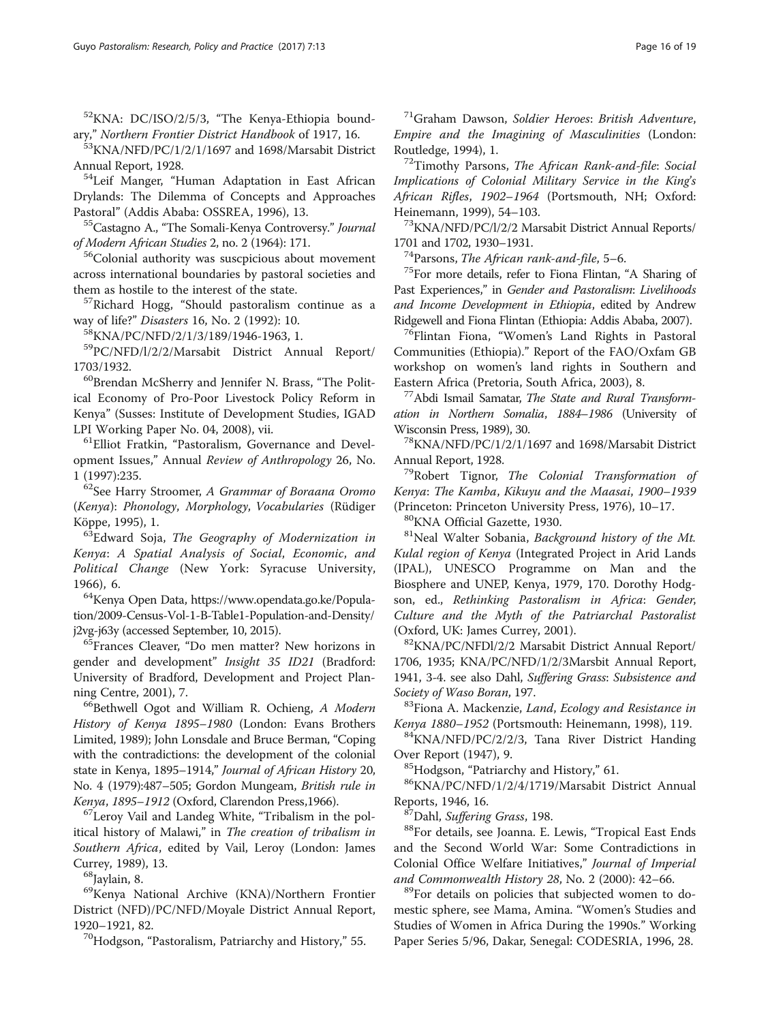52KNA: DC/ISO/2/5/3, "The Kenya-Ethiopia boundary," Northern Frontier District Handbook of 1917, 16.<br><sup>53</sup>KNA/NFD/PC/1/2/1/1697 and 1698/Marsabit District

Annual Report, [1928](#page-17-0).<br><sup>54</sup>Leif Manger, "Human Adaptation in East African

Drylands: The Dilemma of Concepts and Approaches

Pastoral" (Addis Ababa: OSSREA, 1996), 13.<br><sup>55</sup>Castagno A., "The Somali-Kenya Controversy." Journal<br>of Modern African Studies 2, no. 2 (1964): 171.

<sup>56</sup>Colonial authority was suscpicious about movement across international boundaries by pastoral societies and them as hostile to the interest of the state. 57Richard Hogg, "Should pastoralism continue as a

way of life?" Disasters 16, No. 2 (1992): 10.<br><sup>58</sup>KNA/PC/NFD/2/1/3/189/1946-1963, 1.

59PC/NFD/l/2/2/Marsabit District Annual Report/ 1703/1932.<br><sup>60</sup>Brendan McSherry and Jennifer N. Brass, "The Polit-

ical Economy of Pro-Poor Livestock Policy Reform in Kenya" (Susses: Institute of Development Studies, IGAD LPI Working Paper No. 04, 2008), vii.<br><sup>61</sup>Elliot Fratkin, "Pastoralism, Governance and Devel-

opment Issues," Annual Review of Anthropology 26, No. 1 ([1997](#page-17-0)):235.<br> $62$ See Harry Stroomer, A Grammar of Boraana Oromo

(Kenya): Phonology, Morphology, Vocabularies (Rüdiger Köppe, 1995), 1.<br><sup>63</sup>Edward Soja, *The Geography of Modernization in* 

Kenya: A Spatial Analysis of Social, Economic, and Political Change (New York: Syracuse University, [1966\)](#page-18-0), 6.<br><sup>64</sup>Kenya Open Data, https://www.opendata.go.ke/Popula-

tion/2009-Census-Vol-1-B-Table1-Population-and-Density/ j2vg-j63y (accessed September, 10, 2015). 65Frances Cleaver, "Do men matter? New horizons in

gender and development" Insight 35 ID21 (Bradford: University of Bradford, Development and Project Plan-ning Centre, [2001](#page-17-0)), 7.<br><sup>66</sup>Bethwell Ogot and William R. Ochieng, *A Modern* 

History of Kenya 1895–1980 (London: Evans Brothers Limited, 1989); John Lonsdale and Bruce Berman, "Coping with the contradictions: the development of the colonial state in Kenya, 1895–1914," Journal of African History 20, No. 4 (1979):487–505; Gordon Mungeam, British rule in Kenya, 1895–1912 (Oxford, Clarendon Press, 1966).<br><sup>67</sup>Leroy Vail and Landeg White, "Tribalism in the pol-

itical history of Malawi," in The creation of tribalism in Southern Africa, edited by Vail, Leroy (London: James Currey, 1989), 13.<br><sup>68</sup>Jaylain, 8.

69Kenya National Archive (KNA)/Northern Frontier District (NFD)/PC/NFD/Moyale District Annual Report, 1920–[1921,](#page-16-0) 82.<br><sup>70</sup>Hodgson, "Pastoralism, Patriarchy and History," 55.

71Graham Dawson, Soldier Heroes: British Adventure, Empire and the Imagining of Masculinities (London: Routledge, 1994), 1.<br><sup>72</sup>Timothy Parsons, *The African Rank-and-file: Social* 

Implications of Colonial Military Service in the King's African Rifles, 1902–1964 (Portsmouth, NH; Oxford: Heinemann, 1999), 54–103.<br><sup>73</sup>KNA/NFD/PC/l/2/2 Marsabit District Annual Reports/

1701 and 1702, 1930–1931.<br><sup>74</sup>Parsons, *The African rank-and-file*, 5–6.<br><sup>75</sup>For more details, refer to Fiona Flintan, "A Sharing of

Past Experiences," in Gender and Pastoralism: Livelihoods and Income Development in Ethiopia, edited by Andrew

Ridgewell and Fiona Flintan (Ethiopia: Addis Ababa, [2007\)](#page-17-0). 76Flintan Fiona, "Women's Land Rights in Pastoral Communities (Ethiopia)." Report of the FAO/Oxfam GB workshop on women's land rights in Southern and Eastern Africa (Pretoria, South Africa, [2003\)](#page-17-0), 8.<br><sup>77</sup>Abdi Ismail Samatar, *The State and Rural Transform*-

ation in Northern Somalia, 1884–1986 (University of Wisconsin Press, 1989), 30.<br><sup>78</sup>KNA/NFD/PC/1/2/1/1697 and 1698/Marsabit District

Annual Report, [1928](#page-17-0).<br><sup>79</sup>Robert Tignor, *The Colonial Transformation of* 

Kenya: The Kamba, Kikuyu and the Maasai, 1900–1939 (Princeton: Princeton University Press, 1976), 10–17.<br><sup>80</sup>KNA Official Gazette, [1930.](#page-16-0)

 $81$ Neal Walter Sobania, Background history of the Mt. Kulal region of Kenya (Integrated Project in Arid Lands (IPAL), UNESCO Programme on Man and the Biosphere and UNEP, Kenya, 1979, 170. Dorothy Hodgson, ed., Rethinking Pastoralism in Africa: Gender, Culture and the Myth of the Patriarchal Pastoralist (Oxford, UK: James Currey, [2001\)](#page-17-0).<br><sup>82</sup>KNA/PC/NFDl/2/2 Marsabit District Annual Report/

1706, [1935;](#page-17-0) KNA/PC/NFD/1/2/3Marsbit Annual Report, 1941, 3-4. see also Dahl, Suffering Grass: Subsistence and Society of Waso Boran, 197.<br><sup>83</sup>Fiona A. Mackenzie, *Land, Ecology and Resistance in* 

Kenya 1880–1952 (Portsmouth: Heinemann, 1998), 119.<br><sup>84</sup>KNA/NFD/PC/2/2/3, Tana River District Handing

Over Report ([1947](#page-17-0)), 9.<br><sup>85</sup>Hodgson, "Patriarchy and History," 61.<br><sup>86</sup>KNA/PC/NFD/1/2/4/1719/Marsabit District Annual

Reports, [1946](#page-17-0), 16.<br><sup>87</sup>Dahl, *Suffering Grass*, 198.<br><sup>88</sup>For details, see Joanna. E. Lewis, "Tropical East Ends and the Second World War: Some Contradictions in Colonial Office Welfare Initiatives," Journal of Imperial and Commonwealth History 28, No. 2 (2000): 42–66.<br><sup>89</sup>For details on policies that subjected women to do-

mestic sphere, see Mama, Amina. "Women's Studies and Studies of Women in Africa During the 1990s." Working Paper Series 5/96, Dakar, Senegal: CODESRIA, 1996, 28.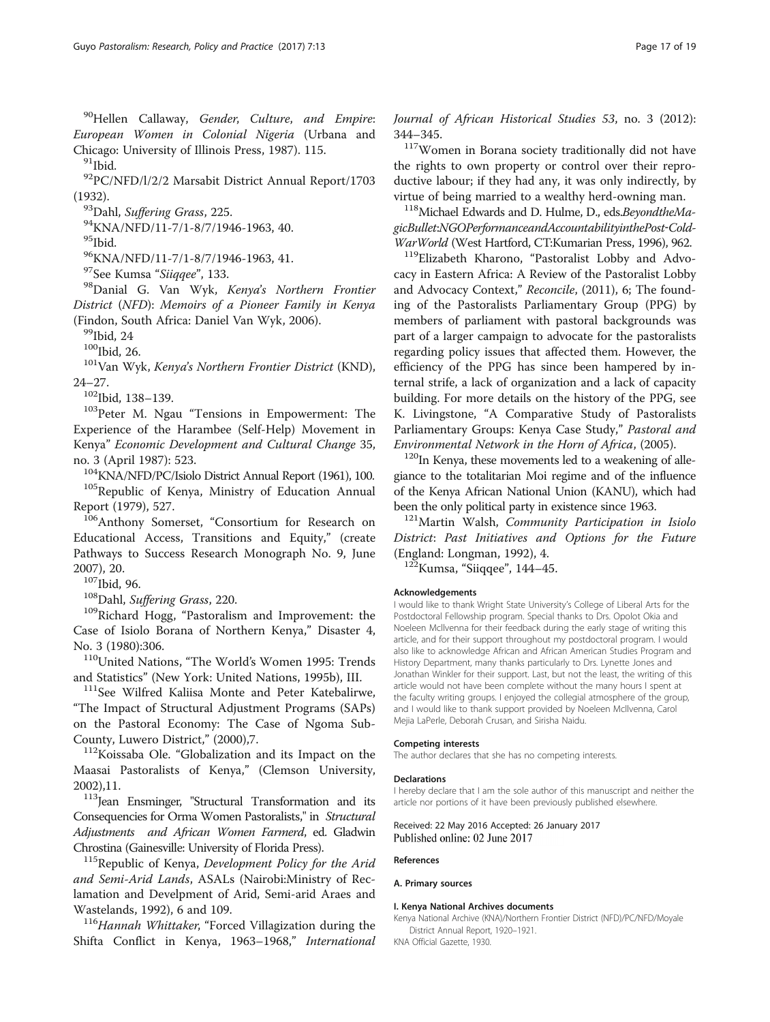<span id="page-16-0"></span><sup>90</sup>Hellen Callaway, Gender, Culture, and Empire: European Women in Colonial Nigeria (Urbana and Chicago: University of Illinois Press, 1987). 115.<br><sup>91</sup>Ibid

92PC/NFD/l/2/2 Marsabit District Annual Report/1703

(1932).<br><sup>93</sup>Dahl, *Suffering Grass*, 225.<br><sup>94</sup>KNA/NFD/11-7/1-8/7/1946-1963, 40.

95Ibid.

<sup>96</sup>KNA/NFD/11-7/1-8/7/1946-1963, 41.<br><sup>97</sup>See Kumsa "Siiqqee", 133.

<sup>98</sup>Danial G. Van Wyk, Kenya's Northern Frontier District (NFD): Memoirs of a Pioneer Family in Kenya (Findon, South Africa: Daniel Van Wyk, 2006).<br><sup>99</sup>Ibid, 24<br><sup>100</sup>Ibid. 26.

 $101$ Van Wyk, Kenya's Northern Frontier District (KND),

24–27.<br><sup>102</sup>Ibid, 138–139.<br><sup>103</sup>Peter M. Ngau "Tensions in Empowerment: The Experience of the Harambee (Self-Help) Movement in Kenya" Economic Development and Cultural Change 35,

no. 3 (April 1987): 523.<br><sup>104</sup>KNA/NFD/PC/Isiolo District Annual Report [\(1961](#page-17-0)), 100.<br><sup>105</sup>Republic of Kenya, Ministry of Education Annual Report [\(1979](#page-17-0)), 527.<br><sup>106</sup>Anthony Somerset, "Consortium for Research on

Educational Access, Transitions and Equity," (create Pathways to Success Research Monograph No. 9, June 2007), 20.<br><sup>107</sup>Ibid, 96.<br><sup>108</sup>Dahl, *Suffering Grass*, 220.<br><sup>109</sup>Richard Hogg, "Pastoralism and Improvement: the

Case of Isiolo Borana of Northern Kenya," Disaster 4, No. 3 [\(1980\)](#page-17-0):306. 110United Nations, "The World's Women [1995](#page-17-0): Trends

and Statistics" (New York: United Nations, [1995b](#page-17-0)), III.<br><sup>111</sup>See Wilfred Kaliisa Monte and Peter Katebalirwe,

"The Impact of Structural Adjustment Programs (SAPs) on the Pastoral Economy: The Case of Ngoma Sub-County, Luwero District," (2000),7.<br><sup>112</sup>Koissaba Ole. "Globalization and its Impact on the

Maasai Pastoralists of Kenya," (Clemson University,

2002),11.<br> $113$ Jean Ensminger, "Structural Transformation and its Consequencies for Orma Women Pastoralists," in Structural Adjustments and African Women Farmerd, ed. Gladwin Chrostina (Gainesville: University of Florida Press).<br><sup>115</sup>Republic of Kenya, *Development Policy for the Arid* 

and Semi-Arid Lands, ASALs (Nairobi:Ministry of Reclamation and Develpment of Arid, Semi-arid Araes and Wastelands, [1992\)](#page-17-0), 6 and 109.<br><sup>116</sup>Hannah Whittaker, "Forced Villagization during the

Shifta Conflict in Kenya, 1963–1968," International

Journal of African Historical Studies 53, no. 3 (2012): <sup>344</sup>–345. 117Women in Borana society traditionally did not have

the rights to own property or control over their reproductive labour; if they had any, it was only indirectly, by virtue of being married to a wealthy herd-owning man.<br><sup>118</sup>Michael Edwards and D. Hulme, D., eds.*BeyondtheMa*-

gicBullet:NGOPerformanceandAccountabilityinthePost‐Cold-WarWorld (West Hartford, CT:Kumarian Press, [1996\)](#page-17-0), 962.<br><sup>119</sup>Elizabeth Kharono, "Pastoralist Lobby and Advo-

cacy in Eastern Africa: A Review of the Pastoralist Lobby and Advocacy Context," Reconcile, [\(2011\)](#page-17-0), 6; The founding of the Pastoralists Parliamentary Group (PPG) by members of parliament with pastoral backgrounds was part of a larger campaign to advocate for the pastoralists regarding policy issues that affected them. However, the efficiency of the PPG has since been hampered by internal strife, a lack of organization and a lack of capacity building. For more details on the history of the PPG, see K. Livingstone, "A Comparative Study of Pastoralists Parliamentary Groups: Kenya Case Study," Pastoral and Environmental Network in the Horn of Africa, (2005).<br><sup>120</sup>In Kenya, these movements led to a weakening of alle-

giance to the totalitarian Moi regime and of the influence of the Kenya African National Union (KANU), which had been the only political party in existence since 1963.<br><sup>121</sup>Martin Walsh, *Community Participation in Isiolo* 

District: Past Initiatives and Options for the Future (England: Longman, 1992), 4. 122Kumsa, "Siiqqee", 144–45.

## Acknowledgements

I would like to thank Wright State University's College of Liberal Arts for the Postdoctoral Fellowship program. Special thanks to Drs. Opolot Okia and Noeleen Mcllvenna for their feedback during the early stage of writing this article, and for their support throughout my postdoctoral program. I would also like to acknowledge African and African American Studies Program and History Department, many thanks particularly to Drs. Lynette Jones and Jonathan Winkler for their support. Last, but not the least, the writing of this article would not have been complete without the many hours I spent at the faculty writing groups. I enjoyed the collegial atmosphere of the group, and I would like to thank support provided by Noeleen Mcllvenna, Carol Mejia LaPerle, Deborah Crusan, and Sirisha Naidu.

#### Competing interests

The author declares that she has no competing interests.

#### **Declarations**

I hereby declare that I am the sole author of this manuscript and neither the article nor portions of it have been previously published elsewhere.

Received: 22 May 2016 Accepted: 26 January 2017 Published online: 02 June 2017

#### References

A. Primary sources

#### I. Kenya National Archives documents

Kenya National Archive (KNA)/Northern Frontier District (NFD)/PC/NFD/Moyale District Annual Report, 1920–1921.

KNA Official Gazette, 1930.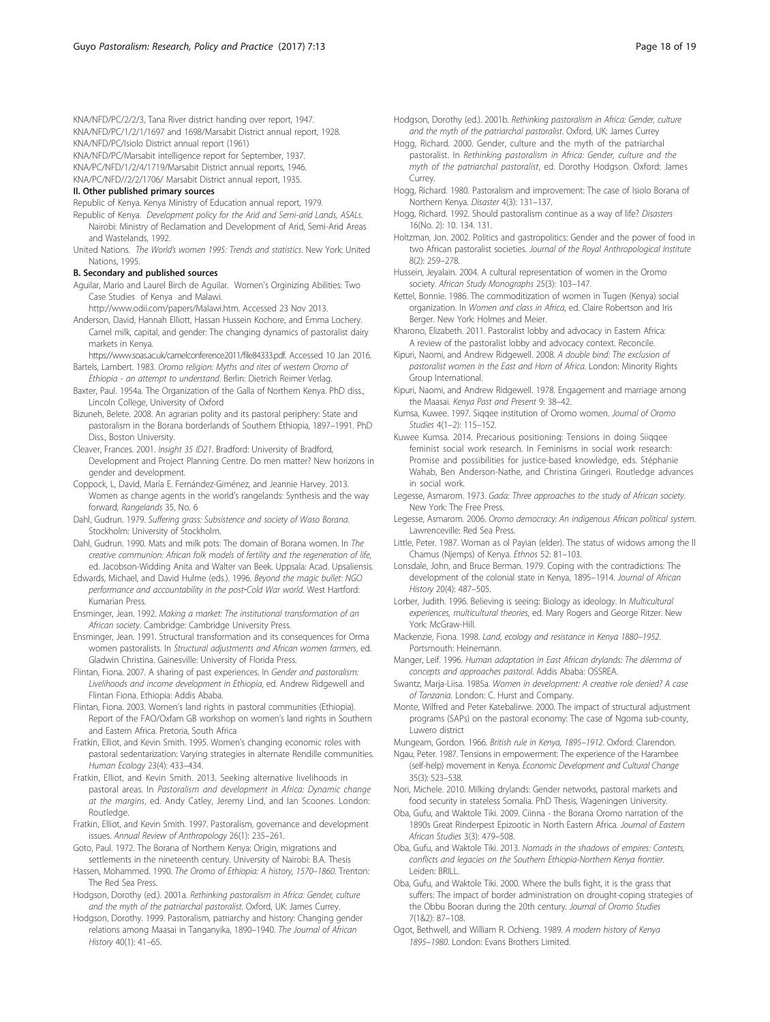<span id="page-17-0"></span>KNA/NFD/PC/2/2/3, Tana River district handing over report, 1947. KNA/NFD/PC/1/2/1/1697 and 1698/Marsabit District annual report, 1928.

KNA/NFD/PC/Isiolo District annual report (1961)

KNA/NFD/PC/Marsabit intelligence report for September, 1937.

KNA/PC/NFD/1/2/4/1719/Marsabit District annual reports, 1946.

KNA/PC/NFD//2/2/1706/ Marsabit District annual report, 1935.

#### II. Other published primary sources

Republic of Kenya. Kenya Ministry of Education annual report, 1979.

- Republic of Kenya. Development policy for the Arid and Semi-arid Lands, ASALs. Nairobi: Ministry of Reclamation and Development of Arid, Semi-Arid Areas and Wastelands, 1992.
- United Nations. The World's women 1995: Trends and statistics. New York: United Nations, 1995.

#### B. Secondary and published sources

- Aguilar, Mario and Laurel Birch de Aguilar. Women's Orginizing Abilities: Two Case Studies of Kenya and Malawi.
- <http://www.odii.com/papers/Malawi.htm>. Accessed 23 Nov 2013.
- Anderson, David, Hannah Elliott, Hassan Hussein Kochore, and Emma Lochery. Camel milk, capital, and gender: The changing dynamics of pastoralist dairy markets in Kenya.
- <https://www.soas.ac.uk/camelconference2011/file84333.pdf>. Accessed 10 Jan 2016. Bartels, Lambert. 1983. Oromo religion: Myths and rites of western Oromo of

Ethiopia - an attempt to understand. Berlin: Dietrich Reimer Verlag.

- Baxter, Paul. 1954a. The Organization of the Galla of Northern Kenya. PhD diss., Lincoln College, University of Oxford
- Bizuneh, Belete. 2008. An agrarian polity and its pastoral periphery: State and pastoralism in the Borana borderlands of Southern Ethiopia, 1897–1991. PhD Diss., Boston University.
- Cleaver, Frances. 2001. Insight 35 ID21. Bradford: University of Bradford, Development and Project Planning Centre. Do men matter? New horizons in gender and development.
- Coppock, L, David, María E. Fernández-Giménez, and Jeannie Harvey. 2013. Women as change agents in the world's rangelands: Synthesis and the way forward, Rangelands 35, No. 6
- Dahl, Gudrun. 1979. Suffering grass: Subsistence and society of Waso Borana. Stockholm: University of Stockholm.
- Dahl, Gudrun. 1990. Mats and milk pots: The domain of Borana women. In The creative communion: African folk models of fertility and the regeneration of life, ed. Jacobson-Widding Anita and Walter van Beek. Uppsala: Acad. Upsaliensis.
- Edwards, Michael, and David Hulme (eds.). 1996. Beyond the magic bullet: NGO performance and accountability in the post-Cold War world. West Hartford: Kumarian Press.
- Ensminger, Jean. 1992. Making a market: The institutional transformation of an African society. Cambridge: Cambridge University Press.

Ensminger, Jean. 1991. Structural transformation and its consequences for Orma women pastoralists. In Structural adjustments and African women farmers, ed. Gladwin Christina. Gainesville: University of Florida Press.

Flintan, Fiona. 2007. A sharing of past experiences. In Gender and pastoralism: Livelihoods and income development in Ethiopia, ed. Andrew Ridgewell and Flintan Fiona. Ethiopia: Addis Ababa.

Flintan, Fiona. 2003. Women's land rights in pastoral communities (Ethiopia). Report of the FAO/Oxfam GB workshop on women's land rights in Southern and Eastern Africa. Pretoria, South Africa

Fratkin, Elliot, and Kevin Smith. 1995. Women's changing economic roles with pastoral sedentarization: Varying strategies in alternate Rendille communities. Human Ecology 23(4): 433–434.

Fratkin, Elliot, and Kevin Smith. 2013. Seeking alternative livelihoods in pastoral areas. In Pastoralism and development in Africa: Dynamic change at the margins, ed. Andy Catley, Jeremy Lind, and Ian Scoones. London: Routledge.

- Fratkin, Elliot, and Kevin Smith. 1997. Pastoralism, governance and development issues. Annual Review of Anthropology 26(1): 235–261.
- Goto, Paul. 1972. The Borana of Northern Kenya: Origin, migrations and settlements in the nineteenth century. University of Nairobi: B.A. Thesis
- Hassen, Mohammed. 1990. The Oromo of Ethiopia: A history, 1570–1860. Trenton: The Red Sea Press.

Hodgson, Dorothy (ed.). 2001a. Rethinking pastoralism in Africa: Gender, culture and the myth of the patriarchal pastoralist. Oxford, UK: James Currey.

Hodgson, Dorothy. 1999. Pastoralism, patriarchy and history: Changing gender relations among Maasai in Tanganyika, 1890–1940. The Journal of African History 40(1): 41–65.

Hodgson, Dorothy (ed.). 2001b. Rethinking pastoralism in Africa: Gender, culture and the myth of the patriarchal pastoralist. Oxford, UK: James Currey

- Hogg, Richard. 2000. Gender, culture and the myth of the patriarchal pastoralist. In Rethinking pastoralism in Africa: Gender, culture and the myth of the patriarchal pastoralist, ed. Dorothy Hodgson. Oxford: James Currey.
- Hogg, Richard. 1980. Pastoralism and improvement: The case of Isiolo Borana of Northern Kenya. Disaster 4(3): 131–137.
- Hogg, Richard. 1992. Should pastoralism continue as a way of life? Disasters 16(No. 2): 10. 134. 131.
- Holtzman, Jon. 2002. Politics and gastropolitics: Gender and the power of food in two African pastoralist societies. Journal of the Royal Anthropological Institute 8(2): 259–278.
- Hussein, Jeyalain. 2004. A cultural representation of women in the Oromo society. African Study Monographs 25(3): 103–147.
- Kettel, Bonnie. 1986. The commoditization of women in Tugen (Kenya) social organization. In Women and class in Africa, ed. Claire Robertson and Iris Berger. New York: Holmes and Meier.
- Kharono, Elizabeth. 2011. Pastoralist lobby and advocacy in Eastern Africa: A review of the pastoralist lobby and advocacy context. Reconcile.
- Kipuri, Naomi, and Andrew Ridgewell. 2008. A double bind: The exclusion of pastoralist women in the East and Horn of Africa. London: Minority Rights Group International.
- Kipuri, Naomi, and Andrew Ridgewell. 1978. Engagement and marriage among the Maasai. Kenya Past and Present 9: 38–42.
- Kumsa, Kuwee. 1997. Siqqee institution of Oromo women. Journal of Oromo Studies 4(1–2): 115–152.
- Kuwee Kumsa. 2014. Precarious positioning: Tensions in doing Siiqqee feminist social work research. In Feminisms in social work research: Promise and possibilities for justice-based knowledge, eds. Stéphanie Wahab, Ben Anderson-Nathe, and Christina Gringeri. Routledge advances in social work.
- Legesse, Asmarom. 1973. Gada: Three approaches to the study of African society. New York: The Free Press.
- Legesse, Asmarom. 2006. Oromo democracy: An indigenous African political system. Lawrenceville: Red Sea Press.
- Little, Peter. 1987. Woman as ol Payian (elder). The status of widows among the Il Chamus (Njemps) of Kenya. Ethnos 52: 81–103.
- Lonsdale, John, and Bruce Berman. 1979. Coping with the contradictions: The development of the colonial state in Kenya, 1895–1914. Journal of African History 20(4): 487–505.
- Lorber, Judith. 1996. Believing is seeing: Biology as ideology. In Multicultural experiences, multicultural theories, ed. Mary Rogers and George Ritzer. New York: McGraw-Hill.
- Mackenzie, Fiona. 1998. Land, ecology and resistance in Kenya 1880–1952. Portsmouth: Heinemann.
- Manger, Leif. 1996. Human adaptation in East African drylands: The dilemma of concepts and approaches pastoral. Addis Ababa: OSSREA.
- Swantz, Marja-Liisa. 1985a. Women in development: A creative role denied? A case of Tanzania. London: C. Hurst and Company.
- Monte, Wilfred and Peter Katebalirwe. 2000. The impact of structural adjustment programs (SAPs) on the pastoral economy: The case of Ngoma sub-county, Luwero district

Mungeam, Gordon. 1966. British rule in Kenya, 1895–1912. Oxford: Clarendon.

- Ngau, Peter. 1987. Tensions in empowerment: The experience of the Harambee (self-help) movement in Kenya. Economic Development and Cultural Change 35(3): 523–538.
- Nori, Michele. 2010. Milking drylands: Gender networks, pastoral markets and food security in stateless Somalia. PhD Thesis, Wageningen University.
- Oba, Gufu, and Waktole Tiki. 2009. Ciinna the Borana Oromo narration of the 1890s Great Rinderpest Epizootic in North Eastern Africa. Journal of Eastern African Studies 3(3): 479–508.
- Oba, Gufu, and Waktole Tiki. 2013. Nomads in the shadows of empires: Contests, conflicts and legacies on the Southern Ethiopia-Northern Kenya frontier. Leiden: BRILL.
- Oba, Gufu, and Waktole Tiki. 2000. Where the bulls fight, it is the grass that suffers: The impact of border administration on drought-coping strategies of the Obbu Booran during the 20th century. Journal of Oromo Studies 7(1&2): 87–108.
- Ogot, Bethwell, and William R. Ochieng. 1989. A modern history of Kenya 1895–1980. London: Evans Brothers Limited.